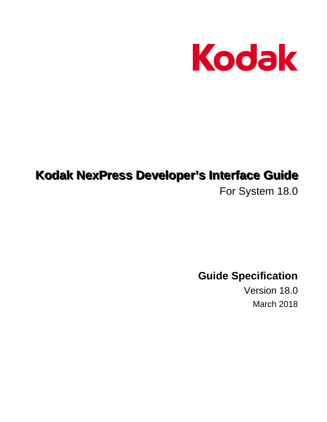

# **Kodak NexPress Developer's Interface Guide**

For System 18.0

**Guide Specification** 

Version 18.0 March 2018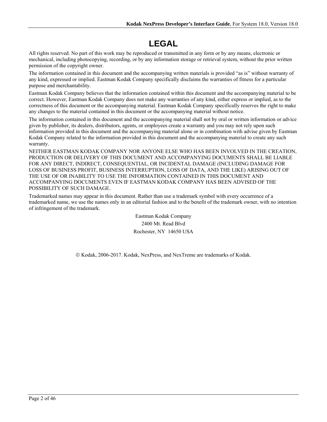# **LEGAL**

All rights reserved. No part of this work may be reproduced or transmitted in any form or by any means, electronic or mechanical, including photocopying, recording, or by any information storage or retrieval system, without the prior written permission of the copyright owner.

The information contained in this document and the accompanying written materials is provided "as is" without warranty of any kind, expressed or implied. Eastman Kodak Company specifically disclaims the warranties of fitness for a particular purpose and merchantability.

Eastman Kodak Company believes that the information contained within this document and the accompanying material to be correct. However, Eastman Kodak Company does not make any warranties of any kind, either express or implied, as to the correctness of this document or the accompanying material. Eastman Kodak Company specifically reserves the right to make any changes to the material contained in this document or the accompanying material without notice.

The information contained in this document and the accompanying material shall not by oral or written information or advice given by publisher, its dealers, distributors, agents, or employees create a warranty and you may not rely upon such information provided in this document and the accompanying material alone or in combination with advise given by Eastman Kodak Company related to the information provided in this document and the accompanying material to create any such warranty.

NEITHER EASTMAN KODAK COMPANY NOR ANYONE ELSE WHO HAS BEEN INVOLVED IN THE CREATION, PRODUCTION OR DELIVERY OF THIS DOCUMENT AND ACCOMPANYING DOCUMENTS SHALL BE LIABLE FOR ANY DIRECT, INDIRECT, CONSEQUENTIAL, OR INCIDENTAL DAMAGE (INCLUDING DAMAGE FOR LOSS OF BUSINESS PROFIT, BUSINESS INTERRUPTION, LOSS OF DATA, AND THE LIKE) ARISING OUT OF THE USE OF OR INABILITY TO USE THE INFORMATION CONTAINED IN THIS DOCUMENT AND ACCOMPANYING DOCUMENTS EVEN IF EASTMAN KODAK COMPANY HAS BEEN ADVISED OF THE POSSIBILITY OF SUCH DAMAGE.

Trademarked names may appear in this document. Rather than use a trademark symbol with every occurrence of a trademarked name, we use the names only in an editorial fashion and to the benefit of the trademark owner, with no intention of infringement of the trademark.

> Eastman Kodak Company 2400 Mt. Read Blvd Rochester, NY 14650 USA

Kodak, 2006-2017. Kodak, NexPress, and NexTreme are trademarks of Kodak.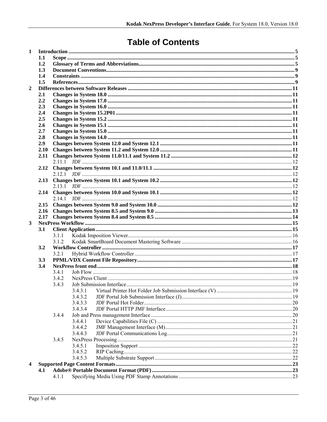# **Table of Contents**

| 1              |      |        |         |  |
|----------------|------|--------|---------|--|
|                | 1.1  |        |         |  |
|                | 1.2  |        |         |  |
|                | 1.3  |        |         |  |
|                | 1.4  |        |         |  |
|                | 1.5  |        |         |  |
| $\overline{2}$ |      |        |         |  |
|                | 2.1  |        |         |  |
|                | 2.2  |        |         |  |
|                | 2.3  |        |         |  |
|                | 2.4  |        |         |  |
|                | 2.5  |        |         |  |
|                | 2.6  |        |         |  |
|                | 2.7  |        |         |  |
|                | 2.8  |        |         |  |
|                | 2.9  |        |         |  |
|                | 2.10 |        |         |  |
|                | 2.11 |        |         |  |
|                |      |        |         |  |
|                | 2.12 |        |         |  |
|                |      | 2.12.1 |         |  |
|                | 2.13 |        |         |  |
|                |      |        |         |  |
|                | 2.14 |        |         |  |
|                |      | 2.14.1 |         |  |
|                |      |        |         |  |
|                |      |        |         |  |
|                | 2.17 |        |         |  |
| 3              |      |        |         |  |
|                | 3.1  |        |         |  |
|                |      | 3.1.1  |         |  |
|                |      | 3.1.2  |         |  |
|                | 3.2  |        |         |  |
|                |      | 3.2.1  |         |  |
|                | 3.3  |        |         |  |
|                | 3.4  |        |         |  |
|                |      | 3.4.1  |         |  |
|                |      | 3.4.2  |         |  |
|                |      | 3.4.3  |         |  |
|                |      |        | 3.4.3.1 |  |
|                |      |        | 3.4.3.2 |  |
|                |      |        | 3.4.3.3 |  |
|                |      |        | 3.4.3.4 |  |
|                |      | 3.4.4  |         |  |
|                |      |        | 3.4.4.1 |  |
|                |      |        | 3.4.4.2 |  |
|                |      |        | 3.4.4.3 |  |
|                |      | 3.4.5  |         |  |
|                |      |        | 3.4.5.1 |  |
|                |      |        | 3.4.5.2 |  |
|                |      |        | 3.4.5.3 |  |
|                |      |        |         |  |
| 4              |      |        |         |  |
|                | 4.1  | 4.1.1  |         |  |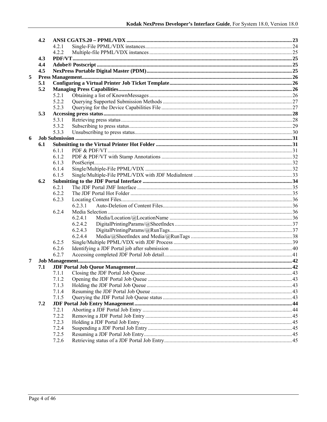|   | 4.2 |       |         |  |  |  |  |  |
|---|-----|-------|---------|--|--|--|--|--|
|   |     | 4.2.1 |         |  |  |  |  |  |
|   |     | 4.2.2 |         |  |  |  |  |  |
|   | 4.3 |       |         |  |  |  |  |  |
|   | 4.4 |       |         |  |  |  |  |  |
|   | 4.5 |       |         |  |  |  |  |  |
| 5 |     |       |         |  |  |  |  |  |
|   | 5.1 |       |         |  |  |  |  |  |
|   | 5.2 |       |         |  |  |  |  |  |
|   |     | 5.2.1 |         |  |  |  |  |  |
|   |     | 5.2.2 |         |  |  |  |  |  |
|   |     | 5.2.3 |         |  |  |  |  |  |
|   | 5.3 |       |         |  |  |  |  |  |
|   |     | 5.3.1 |         |  |  |  |  |  |
|   |     | 5.3.2 |         |  |  |  |  |  |
|   |     | 5.3.3 |         |  |  |  |  |  |
| 6 |     |       |         |  |  |  |  |  |
|   | 6.1 |       |         |  |  |  |  |  |
|   |     | 6.1.1 |         |  |  |  |  |  |
|   |     | 6.1.2 |         |  |  |  |  |  |
|   |     | 6.1.3 |         |  |  |  |  |  |
|   |     | 6.1.4 |         |  |  |  |  |  |
|   |     | 6.1.5 |         |  |  |  |  |  |
|   | 6.2 |       |         |  |  |  |  |  |
|   |     | 6.2.1 |         |  |  |  |  |  |
|   |     | 6.2.2 |         |  |  |  |  |  |
|   |     | 6.2.3 |         |  |  |  |  |  |
|   |     |       | 6.2.3.1 |  |  |  |  |  |
|   |     | 6.2.4 |         |  |  |  |  |  |
|   |     |       | 6.2.4.1 |  |  |  |  |  |
|   |     |       | 6.2.4.2 |  |  |  |  |  |
|   |     |       | 6.2.4.3 |  |  |  |  |  |
|   |     |       | 6.2.4.4 |  |  |  |  |  |
|   |     | 6.2.5 |         |  |  |  |  |  |
|   |     | 6.2.6 |         |  |  |  |  |  |
|   |     | 6.2.7 |         |  |  |  |  |  |
| 7 |     |       |         |  |  |  |  |  |
|   | 7.1 |       |         |  |  |  |  |  |
|   |     | 7.1.1 |         |  |  |  |  |  |
|   |     | 7.1.2 |         |  |  |  |  |  |
|   |     | 7.1.3 |         |  |  |  |  |  |
|   |     | 7.1.4 |         |  |  |  |  |  |
|   |     | 7.1.5 |         |  |  |  |  |  |
|   | 7.2 |       |         |  |  |  |  |  |
|   |     | 7.2.1 |         |  |  |  |  |  |
|   |     | 7.2.2 |         |  |  |  |  |  |
|   |     | 7.2.3 |         |  |  |  |  |  |
|   |     | 7.2.4 |         |  |  |  |  |  |
|   |     | 7.2.5 |         |  |  |  |  |  |
|   |     | 7.2.6 |         |  |  |  |  |  |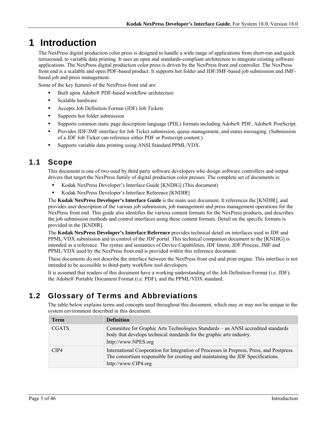# **1 Introduction**

The NexPress digital production color press is designed to handle a wide range of applications from short-run and quick turnaround, to variable data printing. It uses an open and standards-compliant architecture to integrate existing software applications. The NexPress digital production color press is driven by the NexPress front end controller. The NexPress front end is a scalable and open PDF-based product. It supports hot folder and JDF/JMF-based job submission and JMFbased job and press management.

Some of the key features of the NexPress front end are:

- Built upon Adobe® PDF-based workflow architecture
- **Scalable hardware**
- Accepts Job Definition Format (JDF) Job Tickets
- **Supports hot folder submission**
- Supports common static page description language (PDL) formats including Adobe® PDF, Adobe® PostScript.
- **Provides JDF/JMF interface for Job Ticket submission, queue management, and status messaging. (Submission** of a JDF Job Ticket can reference either PDF or Postscript content.)
- Supports variable data printing using ANSI Standard PPML/VDX.

## **1.1 Scope**

This document is one of two used by third party software developers who design software controllers and output drivers that target the NexPress family of digital production color presses. The complete set of documents is:

- Kodak NexPress Developer's Interface Guide [KNDIG] (This document)
- Kodak NexPress Developer's Interface Reference [KNDIR]

The **Kodak NexPress Developer's Interface Guide** is the main user document. It references the [KNDIR], and provides user description of the various job submission, job management and press management operations for the NexPress front end. This guide also identifies the various content formats for the NexPress products, and describes the job submission methods and control interfaces using these content formats. Detail on the specific formats is provided in the [KNDIR].

The **Kodak NexPress Developer's Interface Reference** provides technical detail on interfaces used in JDF and PPML/VDX submission and in control of the JDF portal. This technical companion document to the [KNDIG] is intended as a reference. The syntax and semantics of Device Capabilities, JDF Intent, JDF Process, JMF and PPML/VDX used by the NexPress front end is provided within this reference document.

These documents do not describe the interface between the NexPress front end and print engine. This interface is not intended to be accessible to third-party workflow tool developers.

It is assumed that readers of this document have a working understanding of the Job Definition Format (i.e. JDF), the Adobe® Portable Document Format (i.e. PDF), and the PPML/VDX standard.

# **1.2 Glossary of Terms and Abbreviations**

The table below explains terms and concepts used throughout this document, which may or may not be unique to the system environment described in this document.

| <b>Term</b>  | <b>Definition</b>                                                                                                                                                                                   |
|--------------|-----------------------------------------------------------------------------------------------------------------------------------------------------------------------------------------------------|
| <b>CGATS</b> | Committee for Graphic Arts Technologies Standards - an ANSI accredited standards<br>body that develops technical standards for the graphic arts industry.<br>http://www.NPES.org                    |
| CIP4         | International Cooperation for Integration of Processes in Prepress, Press, and Postpress.<br>The consortium responsible for creating and maintaining the JDF Specifications.<br>http://www.CIP4.org |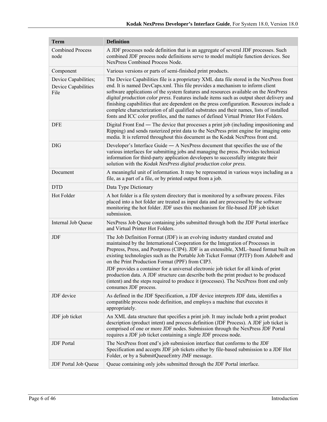| <b>Term</b>                                         | <b>Definition</b>                                                                                                                                                                                                                                                                                                                                                                                                                                                                                                                                                                                                                                                                                      |  |  |  |
|-----------------------------------------------------|--------------------------------------------------------------------------------------------------------------------------------------------------------------------------------------------------------------------------------------------------------------------------------------------------------------------------------------------------------------------------------------------------------------------------------------------------------------------------------------------------------------------------------------------------------------------------------------------------------------------------------------------------------------------------------------------------------|--|--|--|
| <b>Combined Process</b><br>node                     | A JDF processes node definition that is an aggregate of several JDF processes. Such<br>combined JDF process node definitions serve to model multiple function devices. See<br>NexPress Combined Process Node.                                                                                                                                                                                                                                                                                                                                                                                                                                                                                          |  |  |  |
| Component                                           | Various versions or parts of semi-finished print products.                                                                                                                                                                                                                                                                                                                                                                                                                                                                                                                                                                                                                                             |  |  |  |
| Device Capabilities;<br>Device Capabilities<br>File | The Device Capabilities file is a proprietary XML data file stored in the NexPress front<br>end. It is named DevCaps.xml. This file provides a mechanism to inform client<br>software applications of the system features and resources available on the NexPress<br>digital production color press. Features include items such as output sheet delivery and<br>finishing capabilities that are dependent on the press configuration. Resources include a<br>complete characterization of all qualified substrates and their names, lists of installed<br>fonts and ICC color profiles, and the names of defined Virtual Printer Hot Folders.                                                         |  |  |  |
| <b>DFE</b>                                          | Digital Front End — The device that processes a print job (including impositioning and<br>Ripping) and sends rasterized print data to the NexPress print engine for imaging onto<br>media. It is referred throughout this document as the Kodak NexPress front end.                                                                                                                                                                                                                                                                                                                                                                                                                                    |  |  |  |
| <b>DIG</b>                                          | Developer's Interface Guide $- A$ NexPress document that specifies the use of the<br>various interfaces for submitting jobs and managing the press. Provides technical<br>information for third-party application developers to successfully integrate their<br>solution with the Kodak NexPress digital production color press.                                                                                                                                                                                                                                                                                                                                                                       |  |  |  |
| Document                                            | A meaningful unit of information. It may be represented in various ways including as a<br>file, as a part of a file, or by printed output from a job.                                                                                                                                                                                                                                                                                                                                                                                                                                                                                                                                                  |  |  |  |
| <b>DTD</b>                                          | Data Type Dictionary                                                                                                                                                                                                                                                                                                                                                                                                                                                                                                                                                                                                                                                                                   |  |  |  |
| Hot Folder                                          | A hot folder is a file system directory that is monitored by a software process. Files<br>placed into a hot folder are treated as input data and are processed by the software<br>monitoring the hot folder. JDF uses this mechanism for file-based JDF job ticket<br>submission.                                                                                                                                                                                                                                                                                                                                                                                                                      |  |  |  |
| Internal Job Queue                                  | NexPress Job Queue containing jobs submitted through both the JDF Portal interface<br>and Virtual Printer Hot Folders.                                                                                                                                                                                                                                                                                                                                                                                                                                                                                                                                                                                 |  |  |  |
| JDF                                                 | The Job Definition Format (JDF) is an evolving industry standard created and<br>maintained by the International Cooperation for the Integration of Processes in<br>Prepress, Press, and Postpress (CIP4). JDF is an extensible, XML-based format built on<br>existing technologies such as the Portable Job Ticket Format (PJTF) from Adobe® and<br>on the Print Production Format (PPF) from CIP3.<br>JDF provides a container for a universal electronic job ticket for all kinds of print<br>production data. A JDF structure can describe both the print product to be produced<br>(intent) and the steps required to produce it (processes). The NexPress front end only<br>consumes JDF process. |  |  |  |
| JDF device                                          | As defined in the JDF Specification, a JDF device interprets JDF data, identifies a<br>compatible process node definition, and employs a machine that executes it<br>appropriately.                                                                                                                                                                                                                                                                                                                                                                                                                                                                                                                    |  |  |  |
| JDF job ticket                                      | An XML data structure that specifies a print job. It may include both a print product<br>description (product intent) and process definition (JDF Process). A JDF job ticket is<br>comprised of one or more JDF nodes. Submission through the NexPress JDF Portal<br>requires a JDF job ticket containing a single JDF process node.                                                                                                                                                                                                                                                                                                                                                                   |  |  |  |
| <b>JDF</b> Portal                                   | The NexPress front end's job submission interface that conforms to the JDF<br>Specification and accepts JDF job tickets either by file-based submission to a JDF Hot<br>Folder, or by a SubmitQueueEntry JMF message.                                                                                                                                                                                                                                                                                                                                                                                                                                                                                  |  |  |  |
| JDF Portal Job Queue                                | Queue containing only jobs submitted through the JDF Portal interface.                                                                                                                                                                                                                                                                                                                                                                                                                                                                                                                                                                                                                                 |  |  |  |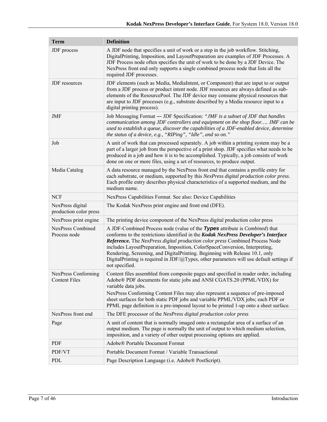| <b>Term</b>                                 | <b>Definition</b>                                                                                                                                                                                                                                                                                                                                                                                                                                                                                                                       |  |  |  |
|---------------------------------------------|-----------------------------------------------------------------------------------------------------------------------------------------------------------------------------------------------------------------------------------------------------------------------------------------------------------------------------------------------------------------------------------------------------------------------------------------------------------------------------------------------------------------------------------------|--|--|--|
| JDF process                                 | A JDF node that specifies a unit of work or a step in the job workflow. Stitching,<br>DigitalPrinting, Imposition, and LayoutPreparation are examples of JDF Processes. A<br>JDF Process node often specifies the unit of work to be done by a JDF Device. The<br>NexPress front end only supports a single combined process node that lists all the<br>required JDF processes.                                                                                                                                                         |  |  |  |
| JDF resources                               | JDF elements (such as Media, MediaIntent, or Component) that are input to or output<br>from a JDF process or product intent node. JDF resources are always defined as sub-<br>elements of the ResourcePool. The JDF device may consume physical resources that<br>are input to JDF processes (e.g., substrate described by a Media resource input to a<br>digital printing process).                                                                                                                                                    |  |  |  |
| JMF                                         | Job Messaging Format - JDF Specification: "JMF is a subset of JDF that handles<br>communication among JDF controllers and equipment on the shop floor JMF can be<br>used to establish a queue, discover the capabilities of a JDF-enabled device, determine<br>the status of a device, e.g., "RIPing", "Idle", and so on."                                                                                                                                                                                                              |  |  |  |
| Job                                         | A unit of work that can processed separately. A job within a printing system may be a<br>part of a larger job from the perspective of a print shop. JDF specifies what needs to be<br>produced in a job and how it is to be accomplished. Typically, a job consists of work<br>done on one or more files, using a set of resources, to produce output.                                                                                                                                                                                  |  |  |  |
| Media Catalog                               | A data resource managed by the NexPress front end that contains a profile entry for<br>each substrate, or medium, supported by this NexPress digital production color press.<br>Each profile entry describes physical characteristics of a supported medium, and the<br>medium name.                                                                                                                                                                                                                                                    |  |  |  |
| <b>NCF</b>                                  | NexPress Capabilities Format. See also: Device Capabilities                                                                                                                                                                                                                                                                                                                                                                                                                                                                             |  |  |  |
| NexPress digital<br>production color press  | The Kodak NexPress print engine and front end (DFE).                                                                                                                                                                                                                                                                                                                                                                                                                                                                                    |  |  |  |
| NexPress print engine                       | The printing device component of the NexPress digital production color press                                                                                                                                                                                                                                                                                                                                                                                                                                                            |  |  |  |
| <b>NexPress Combined</b><br>Process node    | A JDF-Combined Process node (value of the Types attribute is <i>Combined</i> ) that<br>conforms to the restrictions identified in the Kodak NexPress Developer's Interface<br>Reference. The NexPress digital production color press Combined Process Node<br>includes LayoutPreparation, Imposition, ColorSpaceConversion, Interpreting,<br>Rendering, Screening, and DigitalPrinting. Beginning with Release 10.1, only<br>DigitalPrinting is required in JDF/@Types, other parameters will use default settings if<br>not specified. |  |  |  |
| NexPress Conforming<br><b>Content Files</b> | Content files assembled from composite pages and specified in reader order, including<br>Adobe® PDF documents for static jobs and ANSI CGATS.20 (PPML/VDX) for<br>variable data jobs.<br>NexPress Conforming Content Files may also represent a sequence of pre-imposed<br>sheet surfaces for both static PDF jobs and variable PPML/VDX jobs; each PDF or<br>PPML page definition is a pre-imposed layout to be printed 1-up onto a sheet surface.                                                                                     |  |  |  |
| NexPress front end                          | The DFE processor of the NexPress digital production color press                                                                                                                                                                                                                                                                                                                                                                                                                                                                        |  |  |  |
| Page                                        | A unit of content that is normally imaged onto a rectangular area of a surface of an<br>output medium. The page is normally the unit of output to which medium selection,<br>imposition, and a variety of other output processing options are applied.                                                                                                                                                                                                                                                                                  |  |  |  |
| <b>PDF</b>                                  | Adobe® Portable Document Format                                                                                                                                                                                                                                                                                                                                                                                                                                                                                                         |  |  |  |
| PDF/VT                                      | Portable Document Format / Variable Transactional                                                                                                                                                                                                                                                                                                                                                                                                                                                                                       |  |  |  |
| PDL                                         | Page Description Language (i.e. Adobe® PostScript).                                                                                                                                                                                                                                                                                                                                                                                                                                                                                     |  |  |  |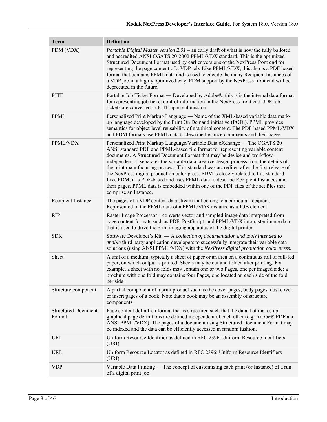| <b>Term</b>                          | <b>Definition</b>                                                                                                                                                                                                                                                                                                                                                                                                                                                                                                                                                                                                                                                                                                           |
|--------------------------------------|-----------------------------------------------------------------------------------------------------------------------------------------------------------------------------------------------------------------------------------------------------------------------------------------------------------------------------------------------------------------------------------------------------------------------------------------------------------------------------------------------------------------------------------------------------------------------------------------------------------------------------------------------------------------------------------------------------------------------------|
| PDM (VDX)                            | Portable Digital Master version 2.01 - an early draft of what is now the fully balloted<br>and accredited ANSI CGATS.20-2002 PPML/VDX standard. This is the optimized<br>Structured Document Format used by earlier versions of the NexPress front end for<br>representing the page content of a VDP job. Like PPML/VDX, this also is a PDF-based<br>format that contains PPML data and is used to encode the many Recipient Instances of<br>a VDP job in a highly optimized way. PDM support by the NexPress front end will be<br>deprecated in the future.                                                                                                                                                                |
| <b>PJTF</b>                          | Portable Job Ticket Format — Developed by Adobe®, this is is the internal data format<br>for representing job ticket control information in the NexPress front end. JDF job<br>tickets are converted to PJTF upon submission.                                                                                                                                                                                                                                                                                                                                                                                                                                                                                               |
| <b>PPML</b>                          | Personalized Print Markup Language - Name of the XML-based variable data mark-<br>up language developed by the Print On Demand initiative (PODi). PPML provides<br>semantics for object-level reusability of graphical content. The PDF-based PPML/VDX<br>and PDM formats use PPML data to describe Instance documents and their pages.                                                                                                                                                                                                                                                                                                                                                                                     |
| PPML/VDX                             | Personalized Print Markup Language/Variable Data eXchange — The CGATS.20<br>ANSI standard PDF and PPML-based file format for representing variable content<br>documents. A Structured Document Format that may be device and workflow-<br>independent. It separates the variable data creative design process from the details of<br>the print manufacturing process. This standard was accredited after the first release of<br>the NexPress digital production color press. PDM is closely related to this standard.<br>Like PDM, it is PDF-based and uses PPML data to describe Recipient Instances and<br>their pages. PPML data is embedded within one of the PDF files of the set files that<br>comprise an Instance. |
| Recipient Instance                   | The pages of a VDP content data stream that belong to a particular recipient.<br>Represented in the PPML data of a PPML/VDX instance as a JOB element.                                                                                                                                                                                                                                                                                                                                                                                                                                                                                                                                                                      |
| <b>RIP</b>                           | Raster Image Processor – converts vector and sampled image data interpreted from<br>page content formats such as PDF, PostScript, and PPML/VDX into raster image data<br>that is used to drive the print imaging apparatus of the digital printer.                                                                                                                                                                                                                                                                                                                                                                                                                                                                          |
| <b>SDK</b>                           | Software Developer's Kit $-$ A collection of documentation and tools intended to<br>enable third party application developers to successfully integrate their variable data<br>solutions (using ANSI PPML/VDX) with the NexPress digital production color press.                                                                                                                                                                                                                                                                                                                                                                                                                                                            |
| Sheet                                | A unit of a medium, typically a sheet of paper or an area on a continuous roll of roll-fed<br>paper, on which output is printed. Sheets may be cut and folded after printing. For<br>example, a sheet with no folds may contain one or two Pages, one per imaged side; a<br>brochure with one fold may contains four Pages, one located on each side of the fold<br>per side.                                                                                                                                                                                                                                                                                                                                               |
| Structure component                  | A partial component of a print product such as the cover pages, body pages, dust cover,<br>or insert pages of a book. Note that a book may be an assembly of structure<br>components.                                                                                                                                                                                                                                                                                                                                                                                                                                                                                                                                       |
| <b>Structured Document</b><br>Format | Page content definition format that is structured such that the data that makes up<br>graphical page definitions are defined independent of each other (e.g. Adobe® PDF and<br>ANSI PPML/VDX). The pages of a document using Structured Document Format may<br>be indexed and the data can be efficiently accessed in random fashion.                                                                                                                                                                                                                                                                                                                                                                                       |
| URI                                  | Uniform Resource Identifier as defined in RFC 2396: Uniform Resource Identifiers<br>(URI)                                                                                                                                                                                                                                                                                                                                                                                                                                                                                                                                                                                                                                   |
| URL                                  | Uniform Resource Locator as defined in RFC 2396: Uniform Resource Identifiers<br>(URI)                                                                                                                                                                                                                                                                                                                                                                                                                                                                                                                                                                                                                                      |
| <b>VDP</b>                           | Variable Data Printing — The concept of customizing each print (or Instance) of a run<br>of a digital print job.                                                                                                                                                                                                                                                                                                                                                                                                                                                                                                                                                                                                            |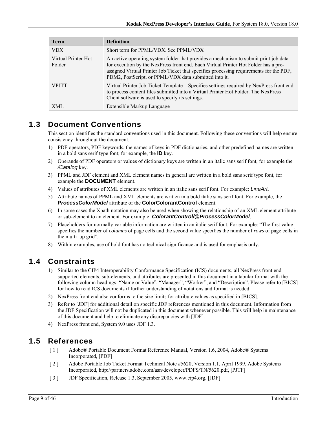| <b>Term</b>                   | <b>Definition</b>                                                                                                                                                                                                                                                                                                               |
|-------------------------------|---------------------------------------------------------------------------------------------------------------------------------------------------------------------------------------------------------------------------------------------------------------------------------------------------------------------------------|
| <b>VDX</b>                    | Short term for PPML/VDX. See PPML/VDX                                                                                                                                                                                                                                                                                           |
| Virtual Printer Hot<br>Folder | An active operating system folder that provides a mechanism to submit print job data<br>for execution by the NexPress front end. Each Virtual Printer Hot Folder has a pre-<br>assigned Virtual Printer Job Ticket that specifies processing requirements for the PDF,<br>PDM2, PostScript, or PPML/VDX data submitted into it. |
| <b>VPITT</b>                  | Virtual Printer Job Ticket Template – Specifies settings required by NexPress front end<br>to process content files submitted into a Virtual Printer Hot Folder. The NexPress<br>Client software is used to specify its settings.                                                                                               |
| XML                           | Extensible Markup Language                                                                                                                                                                                                                                                                                                      |

## **1.3 Document Conventions**

This section identifies the standard conventions used in this document. Following these conventions will help ensure consistency throughout the document.

- 1) PDF operators, PDF keywords, the names of keys in PDF dictionaries, and other predefined names are written in a bold sans serif type font; for example, the **ID** key.
- 2) Operands of PDF operators or values of dictionary keys are written in an italic sans serif font, for example the */Catalog* key.
- 3) PPML and JDF element and XML element names in general are written in a bold sans serif type font, for example the **DOCUMENT** element.
- 4) Values of attributes of XML elements are written in an italic sans serif font. For example: *LineArt.*
- 5) Attribute names of PPML and XML elements are written in a bold italic sans serif font. For example, the *ProcessColorModel* attribute of the **ColorColorantControl** element.
- 6) In some cases the Xpath notation may also be used when showing the relationship of an XML element attribute or sub-element to an element. For example: *ColorantControl/@ProcessColorModel*.
- 7) Placeholders for normally variable information are written in an italic serif font. For example: "The first value specifies the number of *columns* of page cells and the second value specifies the number of *rows* of page cells in the multi–up grid".
- 8) Within examples, use of bold font has no technical significance and is used for emphasis only.

# **1.4 Constraints**

- 1) Similar to the CIP4 Interoperability Conformance Specification (ICS) documents, all NexPress front end supported elements, sub-elements, and attributes are presented in this document in a tabular format with the following column headings: "Name or Value", "Manager", "Worker", and "Description". Please refer to [BICS] for how to read ICS documents if further understanding of notations and format is needed.
- 2) NexPress front end also conforms to the size limits for attribute values as specified in [BICS].
- 3) Refer to [JDF] for additional detail on specific JDF references mentioned in this document. Information from the JDF Specification will not be duplicated in this document whenever possible. This will help in maintenance of this document and help to eliminate any discrepancies with [JDF].
- 4) NexPress front end, System 9.0 uses JDF 1.3.

# **1.5 References**

- [ 1 ] Adobe® Portable Document Format Reference Manual, Version 1.6, 2004, Adobe® Systems Incorporated, [PDF]
- [ 2 ] Adobe Portable Job Ticket Format Technical Note #5620, Version 1.1, April 1999, Adobe Systems Incorporated, http://partners.adobe.com/asn/developer/PDFS/TN/5620.pdf, [PJTF]
- [ 3 ] JDF Specification, Release 1.3, September 2005, www.cip4.org, [JDF]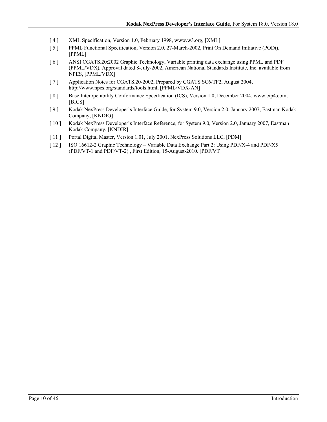- [ 4 ] XML Specification, Version 1.0, February 1998, www.w3.org, [XML]
- [ 5 ] PPML Functional Specification, Version 2.0, 27-March-2002, Print On Demand Initiative (PODi), [PPML]
- [ 6 ] ANSI CGATS.20:2002 Graphic Technology, Variable printing data exchange using PPML and PDF (PPML/VDX), Approval dated 8-July-2002, American National Standards Institute, Inc. available from NPES, [PPML/VDX]
- [ 7 ] Application Notes for CGATS.20-2002, Prepared by CGATS SC6/TF2, August 2004, http://www.npes.org/standards/tools.html, [PPML/VDX-AN]
- [ 8 ] Base Interoperability Conformance Specification (ICS), Version 1.0, December 2004, www.cip4.com, [BICS]
- [ 9 ] Kodak NexPress Developer's Interface Guide, for System 9.0, Version 2.0, January 2007, Eastman Kodak Company, [KNDIG]
- [ 10 ] Kodak NexPress Developer's Interface Reference, for System 9.0, Version 2.0, January 2007, Eastman Kodak Company, [KNDIR]
- [ 11 ] Portal Digital Master, Version 1.01, July 2001, NexPress Solutions LLC, [PDM]
- [ 12 ] ISO 16612-2 Graphic Technology Variable Data Exchange Part 2: Using PDF/X-4 and PDF/X5 (PDF/VT-1 and PDF/VT-2) , First Edition, 15-August-2010. [PDF/VT]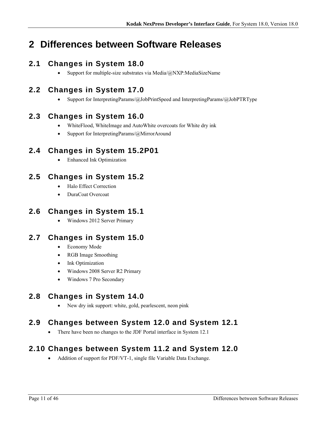# **2 Differences between Software Releases**

# **2.1 Changes in System 18.0**

• Support for multiple-size substrates via Media/ $@NXP$ :MediaSizeName

# **2.2 Changes in System 17.0**

• Support for InterpretingParams/@JobPrintSpeed and InterpretingParams/@JobPTRType

# **2.3 Changes in System 16.0**

- WhiteFlood, WhiteImage and AutoWhite overcoats for White dry ink
- Support for InterpretingParams/@MirrorAround

# **2.4 Changes in System 15.2P01**

• Enhanced Ink Optimization

# **2.5 Changes in System 15.2**

- Halo Effect Correction
- DuraCoat Overcoat

# **2.6 Changes in System 15.1**

Windows 2012 Server Primary

# **2.7 Changes in System 15.0**

- Economy Mode
- RGB Image Smoothing
- Ink Optimization
- Windows 2008 Server R2 Primary
- Windows 7 Pro Secondary

# **2.8 Changes in System 14.0**

New dry ink support: white, gold, pearlescent, neon pink

# **2.9 Changes between System 12.0 and System 12.1**

• There have been no changes to the JDF Portal interface in System 12.1

# **2.10 Changes between System 11.2 and System 12.0**

• Addition of support for PDF/VT-1, single file Variable Data Exchange.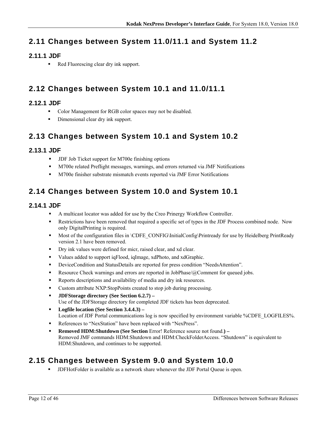# **2.11 Changes between System 11.0/11.1 and System 11.2**

## **2.11.1 JDF**

Red Fluorescing clear dry ink support.

# **2.12 Changes between System 10.1 and 11.0/11.1**

## **2.12.1 JDF**

- Color Management for RGB color spaces may not be disabled.
- Dimensional clear dry ink support.

# **2.13 Changes between System 10.1 and System 10.2**

## **2.13.1 JDF**

- **IDF Job Ticket support for M700e finishing options**
- M700e related Preflight messages, warnings, and errors returned via JMF Notifications
- M700e finisher substrate mismatch events reported via JMF Error Notifications

# **2.14 Changes between System 10.0 and System 10.1**

## **2.14.1 JDF**

- A multicast locator was added for use by the Creo Prinergy Workflow Controller.
- **Restrictions have been removed that required a specific set of types in the JDF Process combined node.** Now only DigitalPrinting is required.
- Most of the configuration files in \CDFE\_CONFIG\InitialConfig\Printready for use by Heidelberg PrintReady version 2.1 have been removed.
- Dry ink values were defined for micr, raised clear, and xd clear.
- Values added to support iqFlood, iqImage, xdPhoto, and xdGraphic.
- DeviceCondition and StatusDetails are reported for press condition "NeedsAttention".
- **Resource Check warnings and errors are reported in JobPhase/@Comment for queued jobs.**
- Reports descriptions and availability of media and dry ink resources.
- Custom attribute NXP:StopPoints created to stop job during processing.
- **JDFStorage directory (See Section 6.2.7)**  Use of the JDFStorage directory for completed JDF tickets has been deprecated.
- **Logfile location (See Section 3.4.4.3)**  Location of JDF Portal communications log is now specified by environment variable %CDFE\_LOGFILES%.
- References to "NexStation" have been replaced with "NexPress".
- **Removed HDM:Shutdown (See Section Error! Reference source not found.) -**Removed JMF commands HDM:Shutdown and HDM:CheckFolderAccess. "Shutdown" is equivalent to HDM:Shutdown, and continues to be supported.

# **2.15 Changes between System 9.0 and System 10.0**

JDFHotFolder is available as a network share whenever the JDF Portal Queue is open.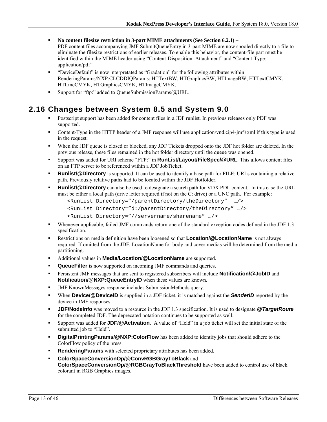- **No content filesize restriction in 3-part MIME attachments (See Section 6.2.1)**  PDF content files accompanying JMF SubmitQueueEntry in 3-part MIME are now spooled directly to a file to eliminate the filesize restrictions of earlier releases. To enable this behavior, the content-file part must be identified within the MIME header using "Content-Disposition: Attachment" and "Content-Type: application/pdf".
- "DeviceDefault" is now interpretated as "Gradation" for the following attributes within RenderingParams/NXP:CLCDDIQParams: HTTextBW, HTGraphicsBW, HTImageBW, HTTextCMYK, HTLineCMYK, HTGraphicsCMYK, HTImageCMYK.
- Support for "ftp:" added to QueueSubmissionParams/@URL.

# **2.16 Changes between System 8.5 and System 9.0**

- Postscript support has been added for content files in a JDF runlist. In previous releases only PDF was supported.
- Content-Type in the HTTP header of a JMF response will use application/vnd.cip4-jmf+xml if this type is used in the request.
- When the JDF queue is closed or blocked, any JDF Tickets dropped onto the JDF hot folder are deleted. In the previous release, these files remained in the hot folder directory until the queue was opened.
- Support was added for URI scheme "FTP:" in **RunList/Layout/FileSpec/@URL**. This allows content files on an FTP server to be referenced within a JDF JobTicket.
- **Runlist/@Directory** is supported. It can be used to identify a base path for FILE: URLs containing a relative path. Previously relative paths had to be located within the JDF Hotfolder.
- **Runlist/@Directory** can also be used to designate a search path for VDX PDL content. In this case the URL must be either a local path (drive letter required if not on the C: drive) or a UNC path. For example:

```
<RunList Directory="/parentDirectory/theDirectory" …/> 
<RunList Directory="d:/parentDirectory/theDirectory" …/> 
<RunList Directory="//servername/sharename" …/>
```
- Whenever applicable, failed JMF commands return one of the standard exception codes defined in the JDF 1.3 specification.
- Restrictions on media definition have been loosened so that **Location/@LocationName** is not always required. If omitted from the JDF, LocationName for body and cover medias will be determined from the media partitioning.
- Additional values in **Media/Location/@LocationName** are supported.
- **QueueFilter** is now supported on incoming JMF commands and queries.
- **Persistent JMF messages that are sent to registered subscribers will include <b>Notification/@JobID** and **Notification/@NXP:QueueEntryID** when these values are known.
- JMF KnownMessages response includes SubmissionMethods query.
- **When Device/@DeviceID** is supplied in a JDF ticket, it is matched against the **SenderID** reported by the device in JMF responses.
- **JDF/NodeInfo** was moved to a resource in the JDF 1.3 specification. It is used to designate *@TargetRoute* for the completed JDF. The deprecated notation continues to be supported as well.
- Support was added for **JDF/@Activation**. A value of "Held" in a job ticket will set the initial state of the submitted job to "Held".
- **DigitalPrintingParams/@NXP:ColorFlow** has been added to identify jobs that should adhere to the ColorFlow policy of the press.
- **Rendering Params** with selected proprietary attributes has been added.
- **ColorSpaceConversionOp/@ConvRGBGrayToBlack** and **ColorSpaceConversionOp/@RGBGrayToBlackThreshold** have been added to control use of black colorant in RGB Graphics images.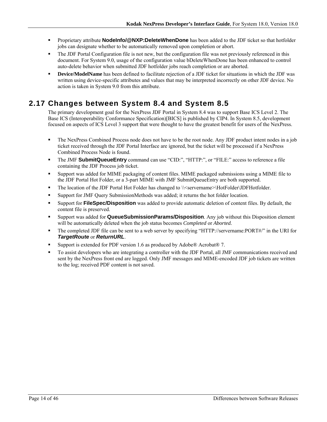- **Proprietary attribute NodeInfo/@NXP:DeleteWhenDone** has been added to the JDF ticket so that hotfolder jobs can designate whether to be automatically removed upon completion or abort.
- The JDF Portal Configuration file is not new, but the configuration file was not previously referenced in this document. For System 9.0, usage of the configuration value bDeleteWhenDone has been enhanced to control auto-delete behavior when submitted JDF hotfolder jobs reach completion or are aborted.
- **Device/ModelName** has been defined to facilitate rejection of a JDF ticket for situations in which the JDF was written using device-specific attributes and values that may be interpreted incorrectly on other JDF device. No action is taken in System 9.0 from this attribute.

# **2.17 Changes between System 8.4 and System 8.5**

The primary development goal for the NexPress JDF Portal in System 8.4 was to support Base ICS Level 2. The Base ICS (Interoperability Conformance Specification)[BICS] is published by CIP4. In System 8.5, development focused on aspects of ICS Level 3 support that were thought to have the greatest benefit for users of the NexPress.

- The NexPress Combined Process node does not have to be the root node. Any JDF product intent nodes in a job ticket received through the JDF Portal Interface are ignored, but the ticket will be processed if a NexPress Combined Process Node is found.
- The JMF **SubmitQueueEntry** command can use "CID:", "HTTP:", or "FILE:" access to reference a file containing the JDF Process job ticket.
- Support was added for MIME packaging of content files. MIME packaged submissions using a MIME file to the JDF Portal Hot Folder, or a 3-part MIME with JMF SubmitQueueEntry are both supported.
- The location of the JDF Portal Hot Folder has changed to \\servername>\HotFolder\JDFHotfolder.
- Support for JMF Query SubmissionMethods was added; it returns the hot folder location.
- Support for **FileSpec/Disposition** was added to provide automatic deletion of content files. By default, the content file is preserved.
- Support was added for **QueueSubmissionParams/Disposition**. Any job without this Disposition element will be automatically deleted when the job status becomes *Completed* or *Aborted.*
- The completed JDF file can be sent to a web server by specifying "HTTP://servername:PORT#/" in the URI for *TargetRoute* or *ReturnURL*.
- Support is extended for PDF version 1.6 as produced by Adobe® Acrobat® 7.
- To assist developers who are integrating a controller with the JDF Portal, all JMF communications received and sent by the NexPress front end are logged. Only JMF messages and MIME-encoded JDF job tickets are written to the log; received PDF content is not saved.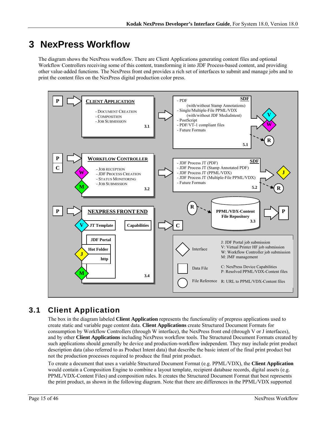# **3 NexPress Workflow**

The diagram shows the NexPress workflow. There are Client Applications generating content files and optional Workflow Controllers receiving some of this content, transforming it into JDF Process-based content, and providing other value-added functions. The NexPress front end provides a rich set of interfaces to submit and manage jobs and to print the content files on the NexPress digital production color press.



# **3.1 Client Application**

The box in the diagram labeled **Client Application** represents the functionality of prepress applications used to create static and variable page content data. **Client Applications** create Structured Document Formats for consumption by Workflow Controllers (through W interface), the NexPress front end (through V or J interfaces), and by other **Client Applications** including NexPress workflow tools. The Structured Document Formats created by such applications should generally be device and production-workflow independent. They may include print product description data (also referred to as Product Intent data) that describe the basic intent of the final print product but not the production processes required to produce the final print product.

To create a document that uses a variable Structured Document Format (e.g. PPML/VDX), the **Client Application** would contain a Composition Engine to combine a layout template, recipient database records, digital assets (e.g. PPML/VDX-Content Files) and composition rules. It creates the Structured Document Format that best represents the print product, as shown in the following diagram. Note that there are differences in the PPML/VDX supported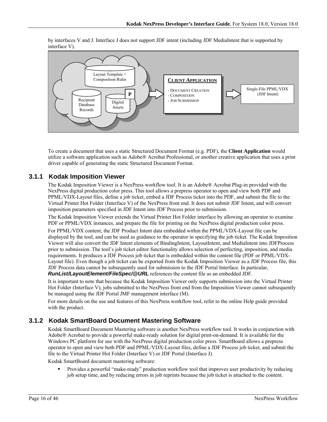by interfaces V and J. Interface J does not support JDF intent (including JDF MediaIntent that is supported by interface V).



To create a document that uses a static Structured Document Format (e.g. PDF), the **Client Application** would utilize a software application such as Adobe® Acrobat Professional, or another creative application that uses a print driver capable of generating the static Structured Document Format.

### **3.1.1 Kodak Imposition Viewer**

The Kodak Imposition Viewer is a NexPress workflow tool. It is an Adobe® Acrobat Plug-in provided with the NexPress digital production color press. This tool allows a prepress operator to open and view both PDF and PPML/VDX-Layout files, define a job ticket, embed a JDF Process ticket into the PDF, and submit the file to the Virtual Printer Hot Folder (Interface V) of the NexPress front end. It does not submit JDF Intent, and will convert imposition parameters specified in JDF Intent into JDF Process prior to submission.

The Kodak Imposition Viewer extends the Virtual Printer Hot Folder interface by allowing an operator to examine PDF or PPML/VDX instances, and prepare the file for printing on the NexPress digital production color press.

For PPML/VDX content, the JDF Product Intent data embedded within the PPML/VDX-Layout file can be displayed by the tool, and can be used as guidance to the operator in specifying the job ticket. The Kodak Imposition Viewer will also convert the JDF Intent elements of BindingIntent, LayoutIntent, and MediaIntent into JDFProcess prior to submission. The tool's job ticket editor functionality allows selection of perfecting, imposition, and media requirements. It produces a JDF Process job ticket that is embedded within the content file (PDF or PPML/VDX-Layout file). Even though a job ticket can be exported from the Kodak Imposition Viewer as a JDF Process file, this JDF Process data cannot be subsequently used for submission to the JDF Portal Interface. In particular, *RunList/LayoutElement/FileSpec/@URL* references the content file as an embedded JDF.

It is important to note that because the Kodak Imposition Viewer only supports submission into the Virtual Printer Hot Folder (Interface V), jobs submitted to the NexPress front end from the Imposition Viewer cannot subsequently be managed using the JDF Portal JMF management interface (M).

For more details on the use and features of this NexPress workflow tool, refer to the online Help guide provided with the product.

### **3.1.2 Kodak SmartBoard Document Mastering Software**

Kodak SmartBoard Document Mastering software is another NexPress workflow tool. It works in conjunction with Adobe® Acrobat to provide a powerful make-ready solution for digital print-on-demand. It is available for the Windows PC platform for use with the NexPress digital production color press. SmartBoard allows a prepress operator to open and view both PDF and PPML/VDX-Layout files, define a JDF Process job ticket, and submit the file to the Virtual Printer Hot Folder (Interface V) or JDF Portal (Interface J).

Kodak SmartBoard document mastering software:

 Provides a powerful "make-ready" production workflow tool that improves user productivity by reducing job setup time, and by reducing errors in job reprints because the job ticket is attached to the content.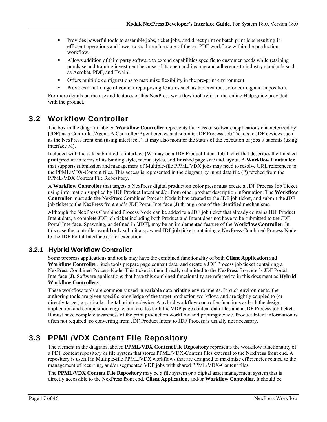- Provides powerful tools to assemble jobs, ticket jobs, and direct print or batch print jobs resulting in efficient operations and lower costs through a state-of-the-art PDF workflow within the production workflow.
- Allows addition of third party software to extend capabilities specific to customer needs while retaining purchase and training investment because of its open architecture and adherence to industry standards such as Acrobat, PDF, and Twain.
- Offers multiple configurations to maximize flexibility in the pre-print environment.
- Provides a full range of content repurposing features such as tab creation, color editing and imposition.

For more details on the use and features of this NexPress workflow tool, refer to the online Help guide provided with the product.

## **3.2 Workflow Controller**

The box in the diagram labeled **Workflow Controller** represents the class of software applications characterized by [JDF] as a Controller/Agent. A Controller/Agent creates and submits JDF Process Job Tickets to JDF devices such as the NexPress front end (using interface J). It may also monitor the status of the execution of jobs it submits (using interface M).

Included with the data submitted to interface (W) may be a JDF Product Intent Job Ticket that describes the finished print product in terms of its binding style, media styles, and finished page size and layout. A **Workflow Controller** that supports submission and management of Multiple-file PPML/VDX jobs may need to resolve URL references to the PPML/VDX-Content files. This access is represented in the diagram by input data file (P) fetched from the PPML/VDX Content File Repository.

A **Workflow Controller** that targets a NexPress digital production color press must create a JDF Process Job Ticket using information supplied by JDF Product Intent and/or from other product description information. The **Workflow Controller** must add the NexPress Combined Process Node it has created to the JDF job ticket, and submit the JDF job ticket to the NexPress front end's JDF Portal Interface (J) through one of the identified mechanisms.

Although the NexPress Combined Process Node can be added to a JDF job ticket that already contains JDF Product Intent data, a complete JDF job ticket including both Product and Intent does not have to be submitted to the JDF Portal Interface. Spawning, as defined in [JDF], may be an implemented feature of the **Workflow Controller**. In this case the controller would only submit a spawned JDF job ticket containing a NexPress Combined Process Node to the JDF Portal Interface (J) for execution.

### **3.2.1 Hybrid Workflow Controller**

Some prepress applications and tools may have the combined functionality of both **Client Application** and **Workflow Controller**. Such tools prepare page content data, and create a JDF Process job ticket containing a NexPress Combined Process Node. This ticket is then directly submitted to the NexPress front end's JDF Portal Interface (J). Software applications that have this combined functionality are referred to in this document as **Hybrid Workflow Controllers**.

These workflow tools are commonly used in variable data printing environments. In such environments, the authoring tools are given specific knowledge of the target production workflow, and are tightly coupled to (or directly target) a particular digital printing device. A hybrid workflow controller functions as both the design application and composition engine, and creates both the VDP page content data files and a JDF Process job ticket. It must have complete awareness of the print production workflow and printing device. Product Intent information is often not required, so converting from JDF Product Intent to JDF Process is usually not necessary.

# **3.3 PPML/VDX Content File Repository**

The element in the diagram labeled **PPML/VDX Content File Repository** represents the workflow functionality of a PDF content repository or file system that stores PPML/VDX-Content files external to the NexPress front end. A repository is useful in Multiple-file PPML/VDX workflows that are designed to maximize efficiencies related to the management of recurring, and/or segmented VDP jobs with shared PPML/VDX-Content files.

The **PPML/VDX Content File Repository** may be a file system or a digital asset management system that is directly accessible to the NexPress front end, **Client Application**, and/or **Workflow Controller**. It should be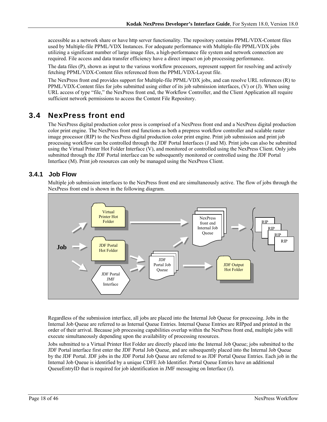accessible as a network share or have http server functionality. The repository contains PPML/VDX-Content files used by Multiple-file PPML/VDX Instances. For adequate performance with Multiple-file PPML/VDX jobs utilizing a significant number of large image files, a high-performance file system and network connection are required. File access and data transfer efficiency have a direct impact on job processing performance.

The data files (P), shown as input to the various workflow processors, represent support for resolving and actively fetching PPML/VDX-Content files referenced from the PPML/VDX-Layout file.

The NexPress front end provides support for Multiple-file PPML/VDX jobs, and can resolve URL references (R) to PPML/VDX-Content files for jobs submitted using either of its job submission interfaces, (V) or (J). When using URL access of type "file," the NexPress front end, the Workflow Controller, and the Client Application all require sufficient network permissions to access the Content File Repository.

# **3.4 NexPress front end**

The NexPress digital production color press is comprised of a NexPress front end and a NexPress digital production color print engine. The NexPress front end functions as both a prepress workflow controller and scalable raster image processor (RIP) to the NexPress digital production color print engine. Print job submission and print job processing workflow can be controlled through the JDF Portal Interfaces (J and M). Print jobs can also be submitted using the Virtual Printer Hot Folder Interface (V), and monitored or controlled using the NexPress Client. Only jobs submitted through the JDF Portal interface can be subsequently monitored or controlled using the JDF Portal Interface (M). Print job resources can only be managed using the NexPress Client.

### **3.4.1 Job Flow**

Multiple job submission interfaces to the NexPress front end are simultaneously active. The flow of jobs through the NexPress front end is shown in the following diagram.



Regardless of the submission interface, all jobs are placed into the Internal Job Queue for processing. Jobs in the Internal Job Queue are referred to as Internal Queue Entries. Internal Queue Entries are RIPped and printed in the order of their arrival. Because job processing capabilities overlap within the NexPress front end, multiple jobs will execute simultaneously depending upon the availability of processing resources.

Jobs submitted to a Virtual Printer Hot Folder are directly placed into the Internal Job Queue; jobs submitted to the JDF Portal interface first enter the JDF Portal Job Queue, and are subsequently placed into the Internal Job Queue by the JDF Portal. JDF jobs in the JDF Portal Job Queue are referred to as JDF Portal Queue Entries. Each job in the Internal Job Queue is identified by a unique CDFE Job Identifier. Portal Queue Entries have an additional QueueEntryID that is required for job identification in JMF messaging on Interface (J).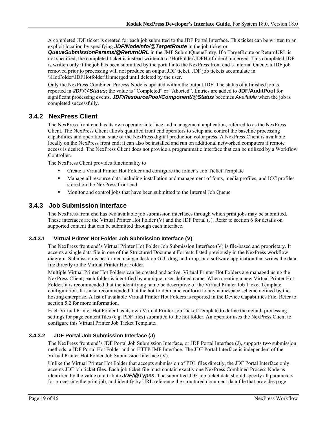A completed JDF ticket is created for each job submitted to the JDF Portal Interface. This ticket can be written to an explicit location by specifying *JDF/NodeInfo/@TargetRoute* in the job ticket or

*QueueSubmissionParams/@ReturnURL* in the JMF SubmitQueueEntry. If a TargetRoute or ReturnURL is not specified, the completed ticket is instead written to c:\HotFolder\JDFHotfolder\Unmerged. This completed JDF is written only if the job has been submitted by the portal into the NexPress front end's Internal Queue; a JDF job removed prior to processing will not produce an output JDF ticket. JDF job tickets accumulate in \\HotFolder\JDFHotfolder\Unmerged until deleted by the user.

Only the NexPress Combined Process Node is updated within the output JDF. The status of a finished job is reported in *JDF/@Status*; the value is "Completed" or "Aborted". Entries are added to **JDF/AuditPool** for significant processing events. *JDF/ResourcePool/Component/@Status* becomes *Available* when the job is completed successfully.

### **3.4.2 NexPress Client**

The NexPress front end has its own operator interface and management application, referred to as the NexPress Client. The NexPress Client allows qualified front end operators to setup and control the baseline processing capabilities and operational state of the NexPress digital production color press. A NexPress Client is available locally on the NexPress front end; it can also be installed and run on additional networked computers if remote access is desired. The NexPress Client does not provide a programmatic interface that can be utilized by a Workflow Controller.

The NexPress Client provides functionality to

- Create a Virtual Printer Hot Folder and configure the folder's Job Ticket Template
- Manage all resource data including installation and management of fonts, media profiles, and ICC profiles stored on the NexPress front end
- Monitor and control jobs that have been submitted to the Internal Job Queue

### **3.4.3 Job Submission Interface**

The NexPress front end has two available job submission interfaces through which print jobs may be submitted. These interfaces are the Virtual Printer Hot Folder (V) and the JDF Portal (J). Refer to section 6 for details on supported content that can be submitted through each interface.

#### **3.4.3.1 Virtual Printer Hot Folder Job Submission Interface (V)**

The NexPress front end's Virtual Printer Hot Folder Job Submission Interface (V) is file-based and proprietary. It accepts a single data file in one of the Structured Document Formats listed previously in the NexPress workflow diagram. Submission is performed using a desktop GUI drag-and-drop, or a software application that writes the data file directly to the Virtual Printer Hot Folder.

Multiple Virtual Printer Hot Folders can be created and active. Virtual Printer Hot Folders are managed using the NexPress Client; each folder is identified by a unique, user-defined name. When creating a new Virtual Printer Hot Folder, it is recommended that the identifying name be descriptive of the Virtual Printer Job Ticket Template configuration. It is also recommended that the hot folder name conform to any namespace scheme defined by the hosting enterprise. A list of available Virtual Printer Hot Folders is reported in the Device Capabilities File. Refer to section 5.2 for more information.

Each Virtual Printer Hot Folder has its own Virtual Printer Job Ticket Template to define the default processing settings for page content files (e.g. PDF files) submitted to the hot folder. An operator uses the NexPress Client to configure this Virtual Printer Job Ticket Template.

#### **3.4.3.2 JDF Portal Job Submission Interface (J)**

The NexPress front end's JDF Portal Job Submission Interface, or JDF Portal Interface (J), supports two submission methods: a JDF Portal Hot Folder and an HTTP JMF Interface. The JDF Portal Interface is independent of the Virtual Printer Hot Folder Job Submission Interface (V).

Unlike the Virtual Printer Hot Folder that accepts submission of PDL files directly, the JDF Portal Interface only accepts JDF job ticket files. Each job ticket file must contain exactly one NexPress Combined Process Node as identified by the value of attribute *JDF/@Types*. The submitted JDF job ticket data should specify all parameters for processing the print job, and identify by URL reference the structured document data file that provides page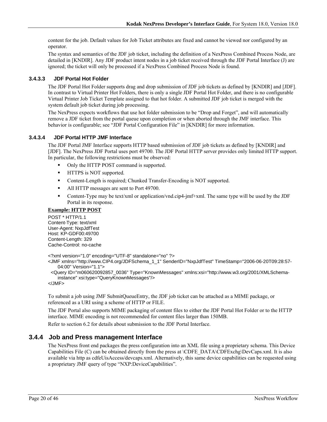content for the job. Default values for Job Ticket attributes are fixed and cannot be viewed nor configured by an operator.

The syntax and semantics of the JDF job ticket, including the definition of a NexPress Combined Process Node, are detailed in [KNDIR]. Any JDF product intent nodes in a job ticket received through the JDF Portal Interface (J) are ignored; the ticket will only be processed if a NexPress Combined Process Node is found.

#### **3.4.3.3 JDF Portal Hot Folder**

The JDF Portal Hot Folder supports drag and drop submission of JDF job tickets as defined by [KNDIR] and [JDF]. In contrast to Virtual Printer Hot Folders, there is only a single JDF Portal Hot Folder, and there is no configurable Virtual Printer Job Ticket Template assigned to that hot folder. A submitted JDF job ticket is merged with the system default job ticket during job processing.

The NexPress expects workflows that use hot folder submission to be "Drop and Forget", and will automatically remove a JDF ticket from the portal queue upon completion or when aborted through the JMF interface. This behavior is configurable; see "JDF Portal Configuration File" in [KNDIR] for more information.

#### **3.4.3.4 JDF Portal HTTP JMF Interface**

The JDF Portal JMF Interface supports HTTP based submission of JDF job tickets as defined by [KNDIR] and [JDF]. The NexPress JDF Portal uses port 49700. The JDF Portal HTTP server provides only limited HTTP support. In particular, the following restrictions must be observed:

- Only the HTTP POST command is supported.
- **IFFLUE** is NOT supported.
- Content-Length is required; Chunked Transfer-Encoding is NOT supported.
- All HTTP messages are sent to Port 49700.
- Content-Type may be text/xml or application/vnd.cip4-jmf+xml. The same type will be used by the JDF Portal in its response.

#### **Example: HTTP POST**

POST \* HTTP/1.1 Content-Type: text/xml User-Agent: NxpJdfTest Host: KP-GDF00:49700 Content-Length: 329 Cache-Control: no-cache

<?xml version="1.0" encoding="UTF-8" standalone="no" ?>

<JMF xmlns="http://www.CIP4.org/JDFSchema\_1\_1" SenderID="NxpJdfTest" TimeStamp="2006-06-20T09:28:57- 04:00" Version="1.1">

 <Query ID="m060620092857\_0036" Type="KnownMessages" xmlns:xsi="http://www.w3.org/2001/XMLSchemainstance" xsi:type="QueryKnownMessages"/>

 $<$ /JMF $>$ 

To submit a job using JMF SubmitQueueEntry, the JDF job ticket can be attached as a MIME package, or referenced as a URI using a scheme of HTTP or FILE.

The JDF Portal also supports MIME packaging of content files to either the JDF Portal Hot Folder or to the HTTP interface. MIME encoding is not recommended for content files larger than 150MB.

Refer to section 6.2 for details about submission to the JDF Portal Interface.

#### **3.4.4 Job and Press management Interface**

The NexPress front end packages the press configuration into an XML file using a proprietary schema. This Device Capabilities File (C) can be obtained directly from the press at \CDFE\_DATA\CDFExchg\DevCaps.xml. It is also available via http as cdfeUisAccess/devcaps.xml. Alternatively, this same device capabilities can be requested using a proprietary JMF query of type "NXP:DeviceCapabilities".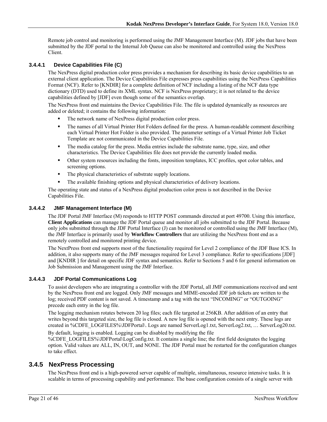Remote job control and monitoring is performed using the JMF Management Interface (M). JDF jobs that have been submitted by the JDF portal to the Internal Job Queue can also be monitored and controlled using the NexPress Client.

#### **3.4.4.1 Device Capabilities File (C)**

The NexPress digital production color press provides a mechanism for describing its basic device capabilities to an external client application. The Device Capabilities File expresses press capabilities using the NexPress Capabilities Format (NCF). Refer to [KNDIR] for a complete definition of NCF including a listing of the NCF data type dictionary (DTD) used to define its XML syntax. NCF is NexPress proprietary; it is not related to the device capabilities defined by [JDF] even though some of the semantics overlap.

The NexPress front end maintains the Device Capabilities File. The file is updated dynamically as resources are added or deleted; it contains the following information:

- The network name of NexPress digital production color press.
- The names of all Virtual Printer Hot Folders defined for the press. A human-readable comment describing each Virtual Printer Hot Folder is also provided. The parameter settings of a Virtual Printer Job Ticket Template are not communicated in the Device Capabilities File.
- The media catalog for the press. Media entries include the substrate name, type, size, and other characteristics. The Device Capabilities file does not provide the currently loaded media.
- Other system resources including the fonts, imposition templates, ICC profiles, spot color tables, and screening options.
- The physical characteristics of substrate supply locations.
- The available finishing options and physical characteristics of delivery locations.

The operating state and status of a NexPress digital production color press is not described in the Device Capabilities File.

#### **3.4.4.2 JMF Management Interface (M)**

The JDF Portal JMF Interface (M) responds to HTTP POST commands directed at port 49700. Using this interface, **Client Applications** can manage the JDF Portal queue and monitor all jobs submitted to the JDF Portal. Because only jobs submitted through the JDF Portal Interface (J) can be monitored or controlled using the JMF Interface (M), the JMF Interface is primarily used by **Workflow Controllers** that are utilizing the NexPress front end as a remotely controlled and monitored printing device.

The NextPress front end supports most of the functionality required for Level 2 compliance of the JDF Base ICS. In addition, it also supports many of the JMF messages required for Level 3 compliance. Refer to specifications [JDF] and [KNDIR ] for detail on specific JDF syntax and semantics. Refer to Sections 5 and 6 for general information on Job Submission and Management using the JMF Interface.

#### **3.4.4.3 JDF Portal Communications Log**

To assist developers who are integrating a controller with the JDF Portal, all JMF communications received and sent by the NexPress front end are logged. Only JMF messages and MIME-encoded JDF job tickets are written to the log; received PDF content is not saved. A timestamp and a tag with the text "INCOMING" or "OUTGOING" precede each entry in the log file.

The logging mechanism rotates between 20 log files; each file targeted at 256KB. After addition of an entry that writes beyond this targeted size, the log file is closed. A new log file is opened with the next entry. These logs are created in %CDFE\_LOGFILES%\JDFPortal\. Logs are named ServerLog1.txt, ServerLog2.txt, … ServerLog20.txt.

By default, logging is enabled. Logging can be disabled by modifying the file %CDFE\_LOGFILES%\JDFPortal\LogConfig.txt. It contains a single line; the first field designates the logging option. Valid values are ALL, IN, OUT, and NONE. The JDF Portal must be restarted for the configuration changes to take effect.

### **3.4.5 NexPress Processing**

The NexPress front end is a high-powered server capable of multiple, simultaneous, resource intensive tasks. It is scalable in terms of processing capability and performance. The base configuration consists of a single server with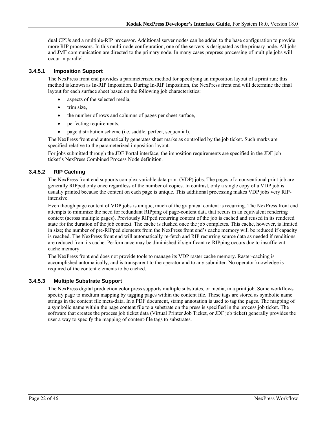dual CPUs and a multiple-RIP processor. Additional server nodes can be added to the base configuration to provide more RIP processors. In this multi-node configuration, one of the servers is designated as the primary node. All jobs and JMF communication are directed to the primary node. In many cases prepress processing of multiple jobs will occur in parallel.

#### **3.4.5.1 Imposition Support**

The NexPress front end provides a parameterized method for specifying an imposition layout of a print run; this method is known as In-RIP Imposition. During In-RIP Imposition, the NexPress front end will determine the final layout for each surface sheet based on the following job characteristics:

- aspects of the selected media,
- trim size,
- the number of rows and columns of pages per sheet surface,
- perfecting requirements,
- page distribution scheme (i.e. saddle, perfect, sequential).

The NexPress front end automatically generates sheet marks as controlled by the job ticket. Such marks are specified relative to the parameterized imposition layout.

For jobs submitted through the JDF Portal interface, the imposition requirements are specified in the JDF job ticket's NexPress Combined Process Node definition.

### **3.4.5.2 RIP Caching**

The NexPress front end supports complex variable data print (VDP) jobs. The pages of a conventional print job are generally RIPped only once regardless of the number of copies. In contrast, only a single copy of a VDP job is usually printed because the content on each page is unique. This additional processing makes VDP jobs very RIPintensive.

Even though page content of VDP jobs is unique, much of the graphical content is recurring. The NexPress front end attempts to minimize the need for redundant RIPping of page-content data that recurs in an equivalent rendering context (across multiple pages). Previously RIPped recurring content of the job is cached and reused in its rendered state for the duration of the job context. The cache is flushed once the job completes. This cache, however, is limited in size; the number of pre-RIPped elements from the NexPress front end's cache memory will be reduced if capacity is reached. The NexPress front end will automatically re-fetch and RIP recurring source data as needed if renditions are reduced from its cache. Performance may be diminished if significant re-RIPping occurs due to insufficient cache memory.

The NexPress front end does not provide tools to manage its VDP raster cache memory. Raster-caching is accomplished automatically, and is transparent to the operator and to any submitter. No operator knowledge is required of the content elements to be cached.

#### **3.4.5.3 Multiple Substrate Support**

The NexPress digital production color press supports multiple substrates, or media, in a print job. Some workflows specify page to medium mapping by tagging pages within the content file. These tags are stored as symbolic name strings in the content file meta-data. In a PDF document, stamp annotation is used to tag the pages. The mapping of a symbolic name within the page content file to a substrate on the press is specified in the process job ticket. The software that creates the process job ticket data (Virtual Printer Job Ticket, or JDF job ticket) generally provides the user a way to specify the mapping of content-file tags to substrates.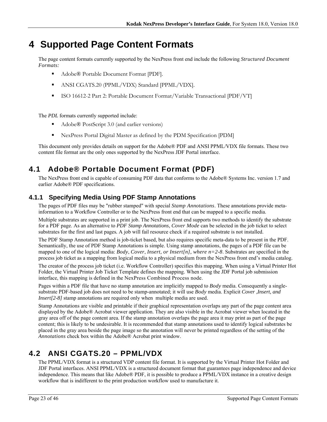# **4 Supported Page Content Formats**

The page content formats currently supported by the NexPress front end include the following *Structured Document Formats:*

- Adobe® Portable Document Format [PDF].
- ANSI CGATS.20 (PPML/VDX) Standard [PPML/VDX].
- ISO 16612-2 Part 2: Portable Document Format/Variable Transactional [PDF/VT]

The *PDL* formats currently supported include:

- Adobe® PostScript 3.0 (and earlier versions)
- NexPress Portal Digital Master as defined by the PDM Specification [PDM]

This document only provides details on support for the Adobe® PDF and ANSI PPML/VDX file formats. These two content file format are the only ones supported by the NexPress JDF Portal interface.

# **4.1 Adobe® Portable Document Format (PDF)**

The NexPress front end is capable of consuming PDF data that conforms to the Adobe® Systems Inc. version 1.7 and earlier Adobe® PDF specifications.

## **4.1.1 Specifying Media Using PDF Stamp Annotations**

The pages of PDF files may be "rubber stamped" with special *Stamp Annotations*. These annotations provide metainformation to a Workflow Controller or to the NexPress front end that can be mapped to a specific media.

Multiple substrates are supported in a print job. The NexPress front end supports two methods to identify the substrate for a PDF page. As an alternative to *PDF Stamp Annotations*, *Cover Mode* can be selected in the job ticket to select substrates for the first and last pages*.* A job will fail resource check if a required substrate is not installed.

The PDF Stamp Annotation method is job-ticket based, but also requires specific meta-data to be present in the PDF. Semantically, the use of PDF Stamp Annotations is simple. Using stamp annotations, the pages of a PDF file can be mapped to one of the logical media: *Body*, *Cover*, *Insert, or Insert[n], where n=2-8*. Substrates are specified in the process job ticket as a mapping from logical media to a physical medium from the NexPress front end's media catalog.

The creator of the process job ticket (i.e. Workflow Controller) specifies this mapping. When using a Virtual Printer Hot Folder, the Virtual Printer Job Ticket Template defines the mapping. When using the JDF Portal job submission interface, this mapping is defined in the NexPress Combined Process node.

Pages within a PDF file that have no stamp annotation are implicitly mapped to *Body* media. Consequently a singlesubstrate PDF-based job does not need to be stamp-annotated; it will use *Body* media. Explicit *Cover* ,*Insert, and Insert*[2-8] stamp annotations are required only when multiple media are used.

Stamp Annotations are visible and printable if their graphical representation overlaps any part of the page content area displayed by the Adobe® Acrobat viewer application. They are also visible in the Acrobat viewer when located in the gray area off of the page content area. If the stamp annotation overlaps the page area it may print as part of the page content; this is likely to be undesirable. It is recommended that stamp annotations used to identify logical substrates be placed in the gray area beside the page image so the annotation will never be printed regardless of the setting of the *Annotations* check box within the Adobe® Acrobat print window.

# **4.2 ANSI CGATS.20 – PPML/VDX**

The PPML/VDX format is a structured VDP content file format. It is supported by the Virtual Printer Hot Folder and JDF Portal interfaces. ANSI PPML/VDX is a structured document format that guarantees page independence and device independence. This means that like Adobe® PDF, it is possible to produce a PPML/VDX instance in a creative design workflow that is indifferent to the print production workflow used to manufacture it.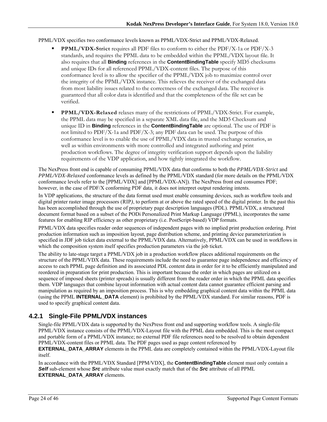#### PPML/VDX specifies two conformance levels known as PPML/VDX-Strict and PPML/VDX-Relaxed.

- **PPML/VDX-Strict** requires all PDF files to conform to either the PDF/X-1a or PDF/X-3 standards, and requires the PPML data to be embedded within the PPML/VDX layout file. It also requires that all **Binding** references in the **ContentBindingTable** specify MD5 checksums and unique IDs for all referenced PPML/VDX-content files. The purpose of this conformance level is to allow the specifier of the PPML/VDX job to maximize control over the integrity of the PPML/VDX instance. This relieves the receiver of the exchanged data from most liability issues related to the correctness of the exchanged data. The receiver is guaranteed that all color data is identified and that the completeness of the file set can be verified.
- **PPML/VDX-Relaxed** relaxes many of the restrictions of PPML/VDX-Strict. For example, the PPML data may be specified in a separate XML data file, and the MD5 Checksum and unique ID in **Binding** references in the **ContentBindingTable** are optional. The use of PDF is not limited to PDF/X-1a and PDF/X-3; any PDF data can be used. The purpose of this conformance level is to enable the use of PPML/VDX data in trusted exchange scenarios, as well as within environments with more controlled and integrated authoring and print production workflows. The degree of integrity verification support depends upon the liability requirements of the VDP application, and how tightly integrated the workflow.

The NexPress front end is capable of consuming PPML/VDX data that conforms to both the *PPML/VDX-Strict* and *PPML/VDX-Relaxed* conformance levels as defined by the PPML/VDX standard (for more details on the PPML/VDX conformance levels refer to the [PPML/VDX] and [PPML/VDX-AN]). The NexPress front end consumes PDF; however, in the case of PDF/X conforming PDF data, it does not interpret output rendering intents.

In VDP applications, the structure of the data format used must enable consuming devices, such as workflow tools and digital printer raster image processors (RIP*)*, to perform at or above the rated speed of the digital printer. In the past this has been accomplished through the use of proprietary page description languages (PDL). PPML/VDX, a structured document format based on a subset of the PODi Personalized Print Markup Language (PPML), incorporates the same features for enabling RIP efficiency as other proprietary (i.e. PostScript-based) VDP formats.

PPML/VDX data specifies reader order sequences of independent pages with no implied print production ordering. Print production information such as imposition layout, page distribution scheme, and printing device parameterization is specified in JDF job ticket data external to the PPML/VDX data. Alternatively, PPML/VDX can be used in workflows in which the composition system itself specifies production parameters via the job ticket.

The ability to late-stage target a PPML/VDX job in a production workflow places additional requirements on the structure of the PPML/VDX data. These requirements include the need to guarantee page independence and efficiency of access to each PPML page definition and its associated PDL content data in order for it to be efficiently manipulated and reordered in preparation for print production. This is important because the order in which pages are utilized on a sequence of imposed sheets (printer spreads) is usually different from the reader order in which the PPML data specifies them. VDP languages that combine layout information with actual content data cannot guarantee efficient parsing and manipulation as required by an imposition process. This is why embedding graphical content data within the PPML data (using the PPML **INTERNAL\_DATA** element) is prohibited by the PPML/VDX standard. For similar reasons, PDF is used to specify graphical content data.

## **4.2.1 Single-File PPML/VDX instances**

Single-file PPML/VDX data is supported by the NexPress front end and supporting workflow tools. A single-file PPML/VDX instance consists of the PPML/VDX-Layout file with the PPML data embedded. This is the most compact and portable form of a PPML/VDX instance; no external PDF file references need to be resolved to obtain dependent PPML/VDX-content files or PPML data. The PDF pages used as page content referenced by

**EXTERNAL\_DATA\_ARRAY** elements in the PPML data are completely contained within the PPML/VDX-Layout file itself.

In accordance with the PPML/VDX Standard [PPM/VDX], the **ContentBindingTable** element must only contain a *Self* sub-element whose *Src* attribute value must exactly match that of the *Src* attribute of all PPML **EXTERNAL\_DATA\_ARRAY** elements.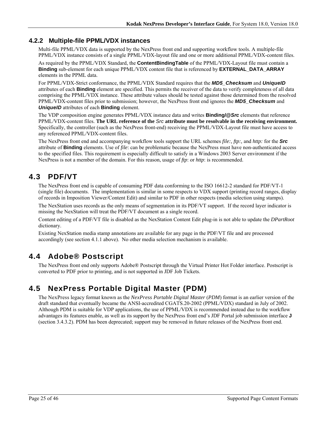### **4.2.2 Multiple-file PPML/VDX instances**

Multi-file PPML/VDX data is supported by the NexPress front end and supporting workflow tools. A multiple-file PPML/VDX instance consists of a single PPML/VDX-layout file and one or more additional PPML/VDX-content files.

As required by the PPML/VDX Standard, the **ContentBindingTable** of the PPML/VDX-Layout file must contain a **Binding** sub-element for each unique PPML/VDX content file that is referenced by **EXTERNAL\_DATA\_ARRAY** elements in the PPML data.

For PPML/VDX-Strict conformance, the PPML/VDX Standard requires that the *MD5\_Checksum* and *UniqueID* attributes of each **Binding** element are specified. This permits the receiver of the data to verify completeness of all data comprising the PPML/VDX instance. These attribute values should be tested against those determined from the resolved PPML/VDX-content files prior to submission; however, the NexPress front end ignores the *MD5\_Checksum* and *UniqueID* attributes of each **Binding** element.

The VDP composition engine generates PPML/VDX instance data and writes **Binding/@***Src* elements that reference PPML/VDX-content files. **The URL reference of the** *Src* **attribute must be resolvable in the receiving environment.** Specifically, the controller (such as the NexPress front-end) receiving the PPML/VDX-Layout file must have access to any referenced PPML/VDX-content files.

The NexPress front end and accompanying workflow tools support the URL schemes *file:, ftp:,* and *http:* for the *Src* attribute of **Binding** elements. Use of *file*: can be problematic because the NexPress must have non-authenticated access to the specified files. This requirement is especially difficult to satisfy in a Windows 2003 Server environment if the NexPress is not a member of the domain. For this reason, usage of *ftp*: or *http*: is recommended.

# **4.3 PDF/VT**

The NexPress front end is capable of consuming PDF data conforming to the ISO 16612-2 standard for PDF/VT-1 (single file) documents. The implementation is similar in some respects to VDX support (printing record ranges, display of records in Imposition Viewer/Content Edit) and similar to PDF in other respects (media selection using stamps).

The NexStation uses records as the only means of segmentation in its PDF/VT support. If the record layer indicator is missing the NexStation will treat the PDF/VT document as a single record.

Content editing of a PDF/VT file is disabled as the NexStation Content Edit plug-in is not able to update the *DPartRoot*  dictionary.

Existing NexStation media stamp annotations are available for any page in the PDF/VT file and are processed accordingly (see section 4.1.1 above). No other media selection mechanism is available.

# **4.4 Adobe® Postscript**

The NexPress front end only supports Adobe® Postscript through the Virtual Printer Hot Folder interface. Postscript is converted to PDF prior to printing, and is not supported in JDF Job Tickets.

# **4.5 NexPress Portable Digital Master (PDM)**

The NexPress legacy format known as the *NexPress Portable Digital Master* (*PDM*) format is an earlier version of the draft standard that eventually became the ANSI-accredited CGATS.20-2002 (PPML/VDX) standard in July of 2002. Although PDM is suitable for VDP applications, the use of PPML/VDX is recommended instead due to the workflow advantages its features enable, as well as its support by the NexPress front end's JDF Portal job submission interface **J** (section 3.4.3.2). PDM has been deprecated; support may be removed in future releases of the NexPress front end.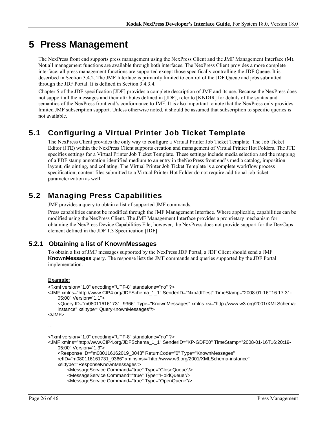# **5 Press Management**

The NexPress front end supports press management using the NexPress Client and the JMF Management Interface (M). Not all management functions are available through both interfaces. The NexPress Client provides a more complete interface; all press management functions are supported except those specifically controlling the JDF Queue. It is described in Section 3.4.2. The JMF Interface is primarily limited to control of the JDF Queue and jobs submitted through the JDF Portal. It is defined in Section 3.4.3.4.

Chapter 5 of the JDF specification [JDF] provides a complete description of JMF and its use. Because the NexPress does not support all the messages and their attributes defined in [JDF], refer to [KNDIR] for details of the syntax and semantics of the NexPress front end's conformance to JMF. It is also important to note that the NexPress only provides limited JMF subscription support. Unless otherwise noted, it should be assumed that subscription to specific queries is not available.

# **5.1 Configuring a Virtual Printer Job Ticket Template**

The NexPress Client provides the only way to configure a Virtual Printer Job Ticket Template. The Job Ticket Editor (JTE) within the NexPress Client supports creation and management of Virtual Printer Hot Folders. The JTE specifies settings for a Virtual Printer Job Ticket Template. These settings include media selection and the mapping of a PDF stamp annotation-identified medium to an entry in theNexPress front end's media catalog, imposition layout, disjointing, and collating. The Virtual Printer Job Ticket Template is a complete workflow process specification; content files submitted to a Virtual Printer Hot Folder do not require additional job ticket parameterization as well.

# **5.2 Managing Press Capabilities**

JMF provides a query to obtain a list of supported JMF commands.

Press capabilities cannot be modified through the JMF Management Interface. Where applicable, capabilities can be modified using the NexPress Client. The JMF Management Interface provides a proprietary mechanism for obtaining the NexPress Device Capabilities File; however, the NexPress does not provide support for the DevCaps element defined in the JDF 1.3 Specification [JDF]

## **5.2.1 Obtaining a list of KnownMessages**

To obtain a list of JMF messages supported by the NexPress JDF Portal, a JDF Client should send a JMF **KnownMessages** query. The response lists the JMF commands and queries supported by the JDF Portal implementation.

#### **Example:**

```
<?xml version="1.0" encoding="UTF-8" standalone="no" ?> 
<JMF xmlns="http://www.CIP4.org/JDFSchema_1_1" SenderID="NxpJdfTest" TimeStamp="2008-01-16T16:17:31-
    05:00" Version="1.1"> 
     <Query ID="m080116161731_9366" Type="KnownMessages" xmlns:xsi="http://www.w3.org/2001/XMLSchema-
    instance" xsi:type="QueryKnownMessages"/> 
</JMF> 
… 
<?xml version="1.0" encoding="UTF-8" standalone="no" ?> 
<JMF xmlns="http://www.CIP4.org/JDFSchema_1_1" SenderID="KP-GDF00" TimeStamp="2008-01-16T16:20:19-
    05:00" Version="1.3"> 
     <Response ID="m080116162019_0043" ReturnCode="0" Type="KnownMessages" 
    refID="m080116161731_9366" xmlns:xsi="http://www.w3.org/2001/XMLSchema-instance"
```

```
xsi:type="ResponseKnownMessages">
```

```
 <MessageService Command="true" Type="CloseQueue"/>
```

```
 <MessageService Command="true" Type="HoldQueue"/>
```

```
 <MessageService Command="true" Type="OpenQueue"/>
```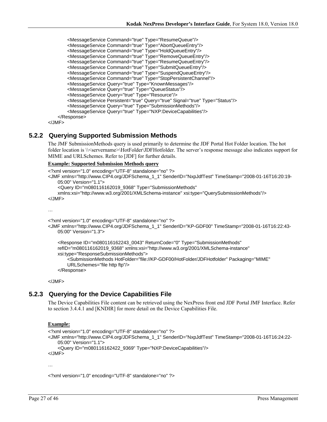```
 <MessageService Command="true" Type="ResumeQueue"/> 
 <MessageService Command="true" Type="AbortQueueEntry"/> 
 <MessageService Command="true" Type="HoldQueueEntry"/> 
 <MessageService Command="true" Type="RemoveQueueEntry"/> 
 <MessageService Command="true" Type="ResumeQueueEntry"/> 
 <MessageService Command="true" Type="SubmitQueueEntry"/> 
 <MessageService Command="true" Type="SuspendQueueEntry"/> 
 <MessageService Command="true" Type="StopPersistentChannel"/> 
        <MessageService Query="true" Type="KnownMessages"/> 
        <MessageService Query="true" Type="QueueStatus"/> 
        <MessageService Query="true" Type="Resource"/> 
        <MessageService Persistent="true" Query="true" Signal="true" Type="Status"/> 
        <MessageService Query="true" Type="SubmissionMethods"/> 
        <MessageService Query="true" Type="NXP:DeviceCapabilities"/> 
    </Response>
```
</JMF>

### **5.2.2 Querying Supported Submission Methods**

The JMF SubmissionMethods query is used primarily to determine the JDF Portal Hot Folder location. The hot folder location is \\<servername>\HotFolder\JDFHotfolder. The server's response message also indicates support for MIME and URLSchemes. Refer to [JDF] for further details.

#### **Example: Supported Submission Methods query**

```
<?xml version="1.0" encoding="UTF-8" standalone="no" ?> 
<JMF xmlns="http://www.CIP4.org/JDFSchema_1_1" SenderID="NxpJdfTest" TimeStamp="2008-01-16T16:20:19-
    05:00" Version="1.1"> 
     <Query ID="m080116162019_9368" Type="SubmissionMethods" 
    xmlns:xsi="http://www.w3.org/2001/XMLSchema-instance" xsi:type="QuerySubmissionMethods"/> 
</JMF> 
… 
<?xml version="1.0" encoding="UTF-8" standalone="no" ?> 
<JMF xmlns="http://www.CIP4.org/JDFSchema_1_1" SenderID="KP-GDF00" TimeStamp="2008-01-16T16:22:43-
    05:00" Version="1.3">
```

```
 <Response ID="m080116162243_0043" ReturnCode="0" Type="SubmissionMethods" 
refID="m080116162019_9368" xmlns:xsi="http://www.w3.org/2001/XMLSchema-instance" 
xsi:type="ResponseSubmissionMethods"> 
    <SubmissionMethods HotFolder="file://KP-GDF00/HotFolder/JDFHotfolder" Packaging="MIME" 
    URLSchemes="file http ftp"/> 
 </Response>
```
</JMF>

### **5.2.3 Querying for the Device Capabilities File**

The Device Capabilities File content can be retrieved using the NexPress front end JDF Portal JMF Interface. Refer to section 3.4.4.1 and [KNDIR] for more detail on the Device Capabilities File.

#### **Example:**

```
<?xml version="1.0" encoding="UTF-8" standalone="no" ?> 
<JMF xmlns="http://www.CIP4.org/JDFSchema_1_1" SenderID="NxpJdfTest" TimeStamp="2008-01-16T16:24:22-
   05:00" Version="1.1"> 
     <Query ID="m080116162422_9369" Type="NXP:DeviceCapabilities"/> 
</JMF>
```
…

<?xml version="1.0" encoding="UTF-8" standalone="no" ?>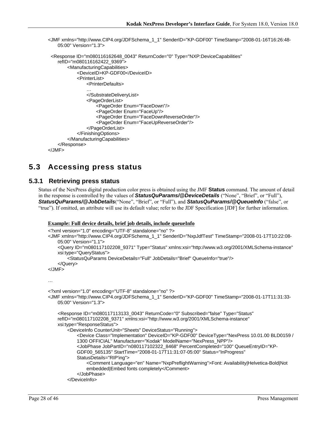```
<JMF xmlns="http://www.CIP4.org/JDFSchema_1_1" SenderID="KP-GDF00" TimeStamp="2008-01-16T16:26:48-
   05:00" Version="1.3"> 
  <Response ID="m080116162648_0043" ReturnCode="0" Type="NXP:DeviceCapabilities" 
    refID="m080116162422_9369"> 
         <ManufacturingCapabilities> 
             <DeviceID>KP-GDF00</DeviceID> 
            <PrinterList> 
                <PrinterDefaults> 
                … 
                </SubstrateDeliveryList> 
                <PageOrderList> 
                    <PageOrder Enum="FaceDown"/> 
                    <PageOrder Enum="FaceUp"/> 
                    <PageOrder Enum="FaceDownReverseOrder"/> 
                    <PageOrder Enum="FaceUpReverseOrder"/> 
                </PageOrderList> 
            </FinishingOptions> 
        </ManufacturingCapabilities> 
    </Response> 
</JMF>
```
# **5.3 Accessing press status**

### **5.3.1 Retrieving press status**

Status of the NexPress digital production color press is obtained using the JMF **Status** command. The amount of detail in the response is controlled by the values of *StatusQuParams/@DeviceDetails* ("None", "Brief", or "Full"), *StatusQuParams/@JobDetails*("None", "Brief", or "Full"), and *StatusQuParams/@QueueInfo* ("false", or "true"). If omitted, an attribute will use its default value; refer to the JDF Specification [JDF] for further information.

#### **Example: Full device details, brief job details, include queueInfo**

```
<?xml version="1.0" encoding="UTF-8" standalone="no" ?> 
<JMF xmlns="http://www.CIP4.org/JDFSchema_1_1" SenderID="NxpJdfTest" TimeStamp="2008-01-17T10:22:08-
    05:00" Version="1.1"> 
     <Query ID="m080117102208_9371" Type="Status" xmlns:xsi="http://www.w3.org/2001/XMLSchema-instance" 
    xsi:type="QueryStatus"> 
         <StatusQuParams DeviceDetails="Full" JobDetails="Brief" QueueInfo="true"/> 
     </Query> 
</JMF> 
… 
<?xml version="1.0" encoding="UTF-8" standalone="no" ?> 
<JMF xmlns="http://www.CIP4.org/JDFSchema_1_1" SenderID="KP-GDF00" TimeStamp="2008-01-17T11:31:33-
    05:00" Version="1.3"> 
     <Response ID="m080117113133_0043" ReturnCode="0" Subscribed="false" Type="Status" 
    refID="m080117102208_9371" xmlns:xsi="http://www.w3.org/2001/XMLSchema-instance" 
    xsi:type="ResponseStatus"> 
         <DeviceInfo CounterUnit="Sheets" DeviceStatus="Running"> 
            <Device Class="Implementation" DeviceID="KP-GDF00" DeviceType="NexPress 10.01.00 BLD0159 / 
            1300 OFFICIAL" Manufacturer="Kodak" ModelName="NexPress_NPP"/> 
            <JobPhase JobPartID="n080117102322_8468" PercentCompleted="100" QueueEntryID="KP-
            GDF00_565135" StartTime="2008-01-17T11:31:07-05:00" Status="InProgress" 
            StatusDetails="RIP'ing"> 
                <Comment Language="en" Name="NxpPreflightWarning">Font: Availability|Helvetica-Bold|Not 
                embedded|Embed fonts completely</Comment> 
             </JobPhase> 
         </DeviceInfo>
```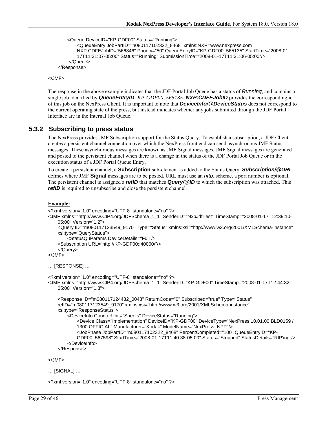```
 <Queue DeviceID="KP-GDF00" Status="Running">
```

```
<QueueEntry JobPartID="n080117102322_8468" xmlns:NXP=www.nexpress.com 
        NXP:CDFEJobID="566846" Priority="50" QueueEntryID="KP-GDF00_565135" StartTime="2008-01-
        17T11:31:07-05:00" Status="Running" SubmissionTime="2008-01-17T11:31:06-05:00"/> 
     </Queue> 
 </Response>
```
</JMF>

The response in the above example indicates that the JDF Portal Job Queue has a status of *Running*, and contains a single job identified by *QueueEntryID*=*KP-GDF00\_565135*. *NXP:CDFEJobID* provides the corresponding id of this job on the NexPress Client. It is important to note that *DeviceInfo/@DeviceStatus* does not correspond to the current operating state of the press, but instead indicates whether any jobs submitted through the JDF Portal Interface are in the Internal Job Queue.

#### **5.3.2 Subscribing to press status**

The NexPress provides JMF Subscription support for the Status Query. To establish a subscription, a JDF Client creates a persistent channel connection over which the NexPress front end can send asynchronous JMF Status messages. These asynchronous messages are known as JMF Signal messages. JMF Signal messages are generated and posted to the persistent channel when there is a change in the status of the JDF Portal Job Queue or in the execution status of a JDF Portal Queue Entry.

To create a persistent channel, a **Subscription** sub-element is added to the Status Query. *Subscription/@URL* defines where JMF **Signal** messages are to be posted. URL must use an *http:* scheme, a port number is optional. The persistent channel is assigned a *refID* that matches *Query/@ID* to which the subscription was attached. This *refID* is required to unsubscribe and close the persistent channel.

#### **Example:**

```
<?xml version="1.0" encoding="UTF-8" standalone="no" ?> 
<JMF xmlns="http://www.CIP4.org/JDFSchema_1_1" SenderID="NxpJdfTest" TimeStamp="2008-01-17T12:39:10-
    05:00" Version="1.2"> 
     <Query ID="m080117123549_9170" Type="Status" xmlns:xsi="http://www.w3.org/2001/XMLSchema-instance" 
    xsi:type="QueryStatus"> 
         <StatusQuParams DeviceDetails="Full"/> 
     <Subscription URL="http://KP-GDF00::40000/"/> 
     </Query> 
</JMF> 
… [RESPONSE] … 
<?xml version="1.0" encoding="UTF-8" standalone="no" ?> 
<JMF xmlns="http://www.CIP4.org/JDFSchema_1_1" SenderID="KP-GDF00" TimeStamp="2008-01-17T12:44:32-
    05:00" Version="1.3"> 
     <Response ID="m080117124432_0043" ReturnCode="0" Subscribed="true" Type="Status"
```

```
refID="m080117123549_9170" xmlns:xsi="http://www.w3.org/2001/XMLSchema-instance" 
xsi:type="ResponseStatus"> 
     <DeviceInfo CounterUnit="Sheets" DeviceStatus="Running"> 
        <Device Class="Implementation" DeviceID="KP-GDF00" DeviceType="NexPress 10.01.00 BLD0159 / 
        1300 OFFICIAL" Manufacturer="Kodak" ModelName="NexPress_NPP"/> 
        <JobPhase JobPartID="n080117102322_8468" PercentCompleted="100" QueueEntryID="KP-
        GDF00_567598" StartTime="2008-01-17T11:40:38-05:00" Status="Stopped" StatusDetails="RIP'ing"/> 
     </DeviceInfo> 
 </Response>
```
</JMF>

```
… [SIGNAL] …
```
<?xml version="1.0" encoding="UTF-8" standalone="no" ?>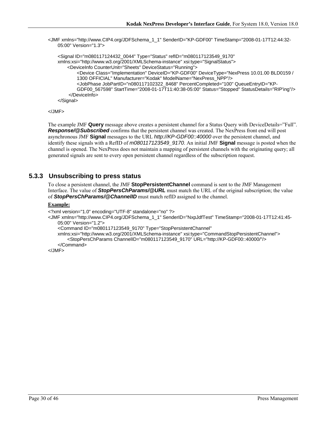<JMF xmlns="http://www.CIP4.org/JDFSchema\_1\_1" SenderID="KP-GDF00" TimeStamp="2008-01-17T12:44:32- 05:00" Version="1.3">

```
 <Signal ID="m080117124432_0044" Type="Status" refID="m080117123549_9170" 
xmlns:xsi="http://www.w3.org/2001/XMLSchema-instance" xsi:type="SignalStatus"> 
     <DeviceInfo CounterUnit="Sheets" DeviceStatus="Running"> 
        <Device Class="Implementation" DeviceID="KP-GDF00" DeviceType="NexPress 10.01.00 BLD0159 / 
        1300 OFFICIAL" Manufacturer="Kodak" ModelName="NexPress_NPP"/> 
        <JobPhase JobPartID="n080117102322_8468" PercentCompleted="100" QueueEntryID="KP-
        GDF00_567598" StartTime="2008-01-17T11:40:38-05:00" Status="Stopped" StatusDetails="RIP'ing"/> 
     </DeviceInfo> 
 </Signal>
```

```
</JMF>
```
The example JMF **Query** message above creates a persistent channel for a Status Query with DeviceDetails="Full". **Response/@Subscribed** confirms that the persistent channel was created. The NexPress front end will post asynchronous JMF **Signal** messages to the URL *http://KP-GDF00::40000* over the persistent channel, and identify these signals with a RefID of *m080117123549\_9170*. An initial JMF **Signal** message is posted when the channel is opened. The NexPress does not maintain a mapping of persistent channels with the originating query; all generated signals are sent to every open persistent channel regardless of the subscription request.

### **5.3.3 Unsubscribing to press status**

To close a persistent channel, the JMF **StopPersistentChannel** command is sent to the JMF Management Interface. The value of *StopPersChParams/@URL* must match the URL of the original subscription; the value of *StopPersChParams/@ChannelID* must match refID assigned to the channel.

#### **Example:**

```
<?xml version="1.0" encoding="UTF-8" standalone="no" ?>
```
<JMF xmlns="http://www.CIP4.org/JDFSchema\_1\_1" SenderID="NxpJdfTest" TimeStamp="2008-01-17T12:41:45- 05:00" Version="1.2">

```
 <Command ID="m080117123549_9170" Type="StopPersistentChannel"
```

```
xmlns:xsi="http://www.w3.org/2001/XMLSchema-instance" xsi:type="CommandStopPersistentChannel"> 
     <StopPersChParams ChannelID="m080117123549_9170" URL="http://KP-GDF00::40000/"/>
```
 </Command>  $<$ /JMF $>$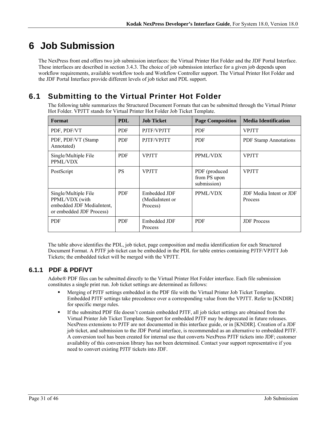# **6 Job Submission**

The NexPress front end offers two job submission interfaces: the Virtual Printer Hot Folder and the JDF Portal Interface. These interfaces are described in section 3.4.3. The choice of job submission interface for a given job depends upon workflow requirements, available workflow tools and Workflow Controller support. The Virtual Printer Hot Folder and the JDF Portal Interface provide different levels of job ticket and PDL support.

# **6.1 Submitting to the Virtual Printer Hot Folder**

The following table summarizes the Structured Document Formats that can be submitted through the Virtual Printer Hot Folder. VPJTT stands for Virtual Printer Hot Folder Job Ticket Template.

| Format                                                                                          | <b>PDL</b> | <b>Job Ticket</b>                           | <b>Page Composition</b>                      | <b>Media Identification</b>        |
|-------------------------------------------------------------------------------------------------|------------|---------------------------------------------|----------------------------------------------|------------------------------------|
| PDF, PDF/VT                                                                                     | <b>PDF</b> | PJTF/VPJTT                                  | <b>PDF</b>                                   | <b>VPJTT</b>                       |
| PDF, PDF/VT (Stamp<br>Annotated)                                                                | <b>PDF</b> | PJTF/VPJTT                                  | <b>PDF</b>                                   | <b>PDF Stamp Annotations</b>       |
| Single/Multiple File<br>PPML/VDX                                                                | <b>PDF</b> | <b>VPJTT</b>                                | PPML/VDX                                     | <b>VPJTT</b>                       |
| PostScript                                                                                      | <b>PS</b>  | <b>VPJTT</b>                                | PDF (produced<br>from PS upon<br>submission) | <b>VPJTT</b>                       |
| Single/Multiple File<br>PPML/VDX (with<br>embedded JDF MediaIntent,<br>or embedded JDF Process) | <b>PDF</b> | Embedded JDF<br>(MediaIntent or<br>Process) | PPML/VDX                                     | JDF Media Intent or JDF<br>Process |
| <b>PDF</b>                                                                                      | <b>PDF</b> | Embedded JDF<br>Process                     | <b>PDF</b>                                   | <b>JDF</b> Process                 |

The table above identifies the PDL, job ticket, page composition and media identification for each Structured Document Format. A PJTF job ticket can be embedded in the PDL for table entries containing PJTF/VPJTT Job Tickets; the embedded ticket will be merged with the VPJTT.

## **6.1.1 PDF & PDF/VT**

Adobe® PDF files can be submitted directly to the Virtual Printer Hot Folder interface. Each file submission constitutes a single print run. Job ticket settings are determined as follows:

- Merging of PJTF settings embedded in the PDF file with the Virtual Printer Job Ticket Template. Embedded PJTF settings take precedence over a corresponding value from the VPJTT. Refer to [KNDIR] for specific merge rules.
- If the submitted PDF file doesn't contain embedded PJTF, all job ticket settings are obtained from the Virtual Printer Job Ticket Template. Support for embedded PJTF may be deprecated in future releases. NexPress extensions to PJTF are not documented in this interface guide, or in [KNDIR]. Creation of a JDF job ticket, and submission to the JDF Portal interface, is recommended as an alternative to embedded PJTF. A conversion tool has been created for internal use that converts NexPress PJTF tickets into JDF; customer availablity of this conversion library has not been determined. Contact your support representative if you need to convert existing PJTF tickets into JDF.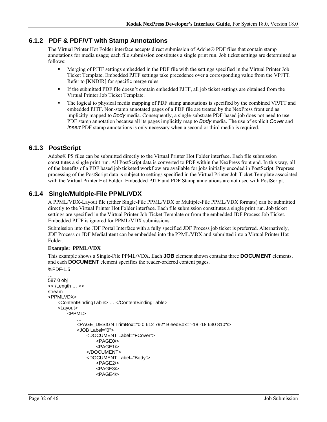### **6.1.2 PDF & PDF/VT with Stamp Annotations**

The Virtual Printer Hot Folder interface accepts direct submission of Adobe® PDF files that contain stamp annotations for media usage; each file submission constitutes a single print run. Job ticket settings are determined as follows:

- Merging of PJTF settings embedded in the PDF file with the settings specified in the Virtual Printer Job Ticket Template. Embedded PJTF settings take precedence over a corresponding value from the VPJTT. Refer to [KNDIR] for specific merge rules.
- If the submitted PDF file doesn't contain embedded PJTF, all job ticket settings are obtained from the Virtual Printer Job Ticket Template.
- The logical to physical media mapping of PDF stamp annotations is specified by the combined VPJTT and embedded PJTF. Non-stamp annotated pages of a PDF file are treated by the NexPress front end as implicitly mapped to *Body* media. Consequently, a single-substrate PDF-based job does not need to use PDF stamp annotation because all its pages implicitly map to *Body* media. The use of explicit *Cover* and *Insert* PDF stamp annotations is only necessary when a second or third media is required.

### **6.1.3 PostScript**

Adobe® PS files can be submitted directly to the Virtual Printer Hot Folder interface. Each file submission constitutes a single print run. All PostScript data is converted to PDF within the NexPress front end. In this way, all of the benefits of a PDF based job ticketed workflow are available for jobs initially encoded in PostScript. Prepress processing of the PostScript data is subject to settings specified in the Virtual Printer Job Ticket Template associated with the Virtual Printer Hot Folder. Embedded PJTF and PDF Stamp annotations are not used with PostScript.

### **6.1.4 Single/Multiple-File PPML/VDX**

A PPML/VDX-Layout file (either Single-File PPML/VDX or Multiple-File PPML/VDX formats) can be submitted directly to the Virtual Printer Hot Folder interface. Each file submission constitutes a single print run. Job ticket settings are specified in the Virtual Printer Job Ticket Template or from the embedded JDF Process Job Ticket. Embedded PJTF is ignored for PPML/VDX submissions.

Submission into the JDF Portal Interface with a fully specified JDF Process job ticket is preferred. Alternatively, JDF Process or JDF MediaIntent can be embedded into the PPML/VDX and submitted into a Virtual Printer Hot Folder.

#### **Example: PPML/VDX**

This example shows a Single-File PPML/VDX. Each **JOB** element shown contains three **DOCUMENT** elements, and each **DOCUMENT** element specifies the reader-ordered content pages.

```
%PDF-1.5 
… 
587 0 obj 
<< /Length … >> 
stream 
<PPMLVDX> 
    <ContentBindingTable> … </ContentBindingTable> 
    <Layout> 
        <PPML> 
            … 
            <PAGE_DESIGN TrimBox="0 0 612 792" BleedBox="-18 -18 630 810"/> 
            <JOB Label="0"> 
                <DOCUMENT Label="FCover"> 
                    <PAGE0/> 
                    <PAGF1/></DOCUMENT> 
                <DOCUMENT Label="Body"> 
                    <PAGE2/> 
                    <PAGE3/> 
                    <PAGE4/> 
                    …
```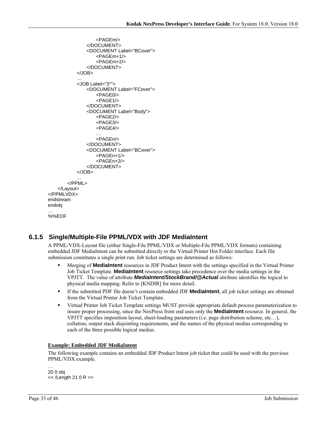```
<PAGEm/> 
               </DOCUMENT> 
               <DOCUMENT Label="BCover"> 
                   <PAGEm+1/> 
                   <PAGEm+2/> 
               </DOCUMENT> 
           </JOB> 
           … 
           <JOB Label="3""> 
               <DOCUMENT Label="FCover"> 
                   <PAGE0/> 
                   <PAGE1/> 
               </DOCUMENT> 
               <DOCUMENT Label="Body"> 
                   <PAGE2/> 
                   <PAGE3/> 
                   <PAGE4/> 
                   … 
                   <PAGEn/> 
               </DOCUMENT> 
               <DOCUMENT Label="BCover"> 
                   <PAGEn+1/> 
                   <PAGEn+2/> 
               </DOCUMENT> 
           </JOB> 
       </PPML> 
    </Layout> 
</PPMLVDX> 
endstream 
endobj 
… 
%%EOF
```
## **6.1.5 Single/Multiple-File PPML/VDX with JDF MediaIntent**

A PPML/VDX-Layout file (either Single-File PPML/VDX or Multiple-File PPML/VDX formats) containing embedded JDF MediaIntent can be submitted directly to the Virtual Printer Hot Folder interface. Each file submission constitutes a single print run. Job ticket settings are determined as follows:

- Merging of **MediaIntent** resources in JDF Product Intent with the settings specified in the Virtual Printer Job Ticket Template. **MediaIntent** resource settings take precedence over the media settings in the VPJTT. The value of attribute *MediaIntent/StockBrand/@Actual* attribute identifies the logical to physical media mapping. Refer to [KNDIR] for more detail.
- If the submitted PDF file doesn't contain embedded JDF **MediaIntent**, all job ticket settings are obtained from the Virtual Printer Job Ticket Template.
- Virtual Printer Job Ticket Template settings MUST provide appropriate default process parameterization to insure proper processing, since the NexPress front end uses only the **MediaIntent** resource. In general, the VPJTT specifies imposition layout, sheet-loading parameters (i.e. page distribution scheme, etc…), collation, output stack disjointing requirements, and the names of the physical medias corresponding to each of the three possible logical medias.

#### **Example: Embedded JDF MediaIntent**

The following example contains an embedded JDF Product Intent job ticket that could be used with the previous PPML/VDX example.

… 20 0 obj << /Length 21 0 R >>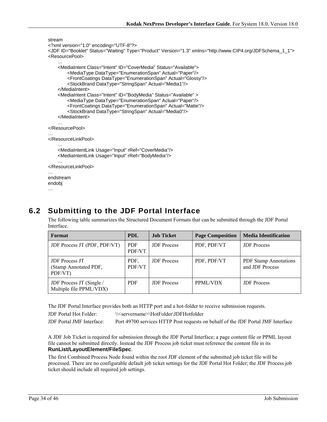```
stream 
<?xml version="1.0" encoding="UTF-8"?> 
<JDF ID="Booklet" Status="Waiting" Type="Product" Version="1.3" xmlns="http://www.CIP4.org/JDFSchema_1_1"> 
<ResourcePool> 
    … 
    <MediaIntent Class="Intent" ID="CoverMedia" Status="Available"> 
        <MediaType DataType="EnumerationSpan" Actual="Paper"/> 
        <FrontCoatings DataType="EnumerationSpan" Actual="Glossy"/> 
        <StockBrand DataType="StringSpan" Actual="Media1"/> 
    </MediaIntent> 
    <MediaIntent Class="Intent" ID="BodyMedia" Status="Available" > 
        <MediaType DataType="EnumerationSpan" Actual="Paper"/> 
        <FrontCoatings DataType="EnumerationSpan" Actual="Matte"/> 
        <StockBrand DataType="StringSpan" Actual="Media0"/> 
    </MediaIntent> 
    … 
</ResourcePool> 
… 
</ResourceLinkPool> 
    … 
    <MediaIntentLink Usage="Input" rRef="CoverMedia"/> 
    <MediaIntentLink Usage="Input" rRef="BodyMedia"/> 
    … 
</ResourceLinkPool> 
… 
endstream 
endobj
```

```
…
```
# **6.2 Submitting to the JDF Portal Interface**

The following table summarizes the Structured Document Formats that can be submitted through the JDF Portal Interface.

| Format                                                    | <b>PDL</b>           | <b>Job Ticket</b>  | <b>Page Composition</b> | <b>Media Identification</b>                     |
|-----------------------------------------------------------|----------------------|--------------------|-------------------------|-------------------------------------------------|
| JDF Process JT (PDF, PDF/VT)                              | <b>PDF</b><br>PDF/VT | <b>JDF</b> Process | PDF, PDF/VT             | <b>JDF</b> Process                              |
| <b>JDF</b> Process JT<br>(Stamp Annotated PDF,<br>PDF/VT) | PDF.<br>PDF/VT       | <b>JDF</b> Process | PDF, PDF/VT             | <b>PDF Stamp Annotations</b><br>and JDF Process |
| JDF Process JT (Single /<br>Multiple file PPML/VDX)       | <b>PDF</b>           | <b>JDF</b> Process | PPML/VDX                | <b>JDF</b> Process                              |

The JDF Portal Interface provides both an HTTP port and a hot-folder to receive submission requests.

JDF Portal Hot Folder: \\<servername>\HotFolder\JDFHotfolder

JDF Portal JMF Interface: Port 49700 services HTTP Post requests on behalf of the JDF Portal JMF Interface

A JDF Job Ticket is required for submission through the JDF Portal Interface; a page content file or PPML layout file cannot be submitted directly. Instead the JDF Process job ticket must reference the content file in its **RunList/LayoutElement/FileSpec**.

The first Combined Process Node found within the root JDF element of the submitted job ticket file will be processed. There are no configurable default job ticket settings for the JDF Portal Hot Folder; the JDF Process job ticket should include all required job settings.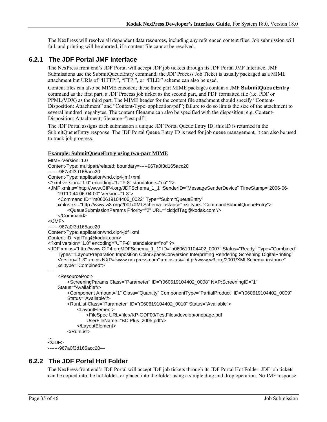The NexPress will resolve all dependent data resources, including any referenced content files. Job submission will fail, and printing will be aborted, if a content file cannot be resolved.

### **6.2.1 The JDF Portal JMF Interface**

The NexPress front end's JDF Portal will accept JDF job tickets through its JDF Portal JMF Interface. JMF Submissions use the SubmitQueueEntry command; the JDF Process Job Ticket is usually packaged as a MIME attachment but URIs of "HTTP:", "FTP:", or "FILE:" scheme can also be used.

Content files can also be MIME encoded; these three part MIME packages contain a JMF **SubmitQueueEntry** command as the first part, a JDF Process job ticket as the second part, and PDF formatted file (i.e. PDF or PPML/VDX) as the third part. The MIME header for the content file attachment should specify "Content-Disposition: Attachment" and "Content-Type: application/pdf"; failure to do so limits the size of the attachment to several hundred megabytes. The content filename can also be specified with the disposition; e.g. Content-Disposition: Attachment; filename="test.pdf".

The JDF Portal assigns each submission a unique JDF Portal Queue Entry ID; this ID is returned in the SubmitQueueEntry response. The JDF Portal Queue Entry ID is used for job queue management, it can also be used to track job progress.

#### **Example: SubmitQueueEntry using two-part MIME**

```
MIME-Version: 1.0 
Content-Type: multipart/related; boundary=-----967a0f3d165acc20 
-------967a0f3d165acc20 
Content-Type: application/vnd.cip4-jmf+xml 
<?xml version="1.0" encoding="UTF-8" standalone="no" ?> 
<JMF xmlns="http://www.CIP4.org/JDFSchema_1_1" SenderID="MessageSenderDevice" TimeStamp="2006-06-
    19T10:44:06-04:00" Version="1.3"> 
     <Command ID="m060619104406_0022" Type="SubmitQueueEntry" 
    xmlns:xsi="http://www.w3.org/2001/XMLSchema-instance" xsi:type="CommandSubmitQueueEntry"> 
         <QueueSubmissionParams Priority="2" URL="cid:jdfTag@kodak.com"/> 
     </Command> 
</JMF> 
-------967a0f3d165acc20 
Content-Type: application/vnd.cip4-jdf+xml 
Content-ID: <jdfTag@kodak.com>
<?xml version="1.0" encoding="UTF-8" standalone="no" ?> 
<JDF xmlns="http://www.CIP4.org/JDFSchema_1_1" ID="n060619104402_0007" Status="Ready" Type="Combined" 
    Types="LayoutPreparation Imposition ColorSpaceConversion Interpreting Rendering Screening DigitalPrinting" 
    Version="1.3" xmlns:NXP="www.nexpress.com" xmlns:xsi="http://www.w3.org/2001/XMLSchema-instance" 
    xsi:type="Combined"> 
… 
     <ResourcePool> 
         <ScreeningParams Class="Parameter" ID="r060619104402_0008" NXP:ScreeningID="1" 
    Status="Available"/> 
        <Component Amount="1" Class="Quantity" ComponentType="PartialProduct" ID="r060619104402_0009" 
        Status="Available"/> 
         <RunList Class="Parameter" ID="r060619104402_0010" Status="Available"> 
             <LayoutElement> 
                 <FileSpec URL=file://KP-GDF00/TestFiles/develop/onepage.pdf 
                UserFileName="BC Plus_2005.pdf"/> 
             </LayoutElement> 
         </RunList> 
… 
</JDF> 
-------967a0f3d165acc20—
```
### **6.2.2 The JDF Portal Hot Folder**

The NexPress front end's JDF Portal will accept JDF job tickets through its JDF Portal Hot Folder. JDF job tickets can be copied into the hot folder, or placed into the folder using a simple drag and drop operation. No JMF response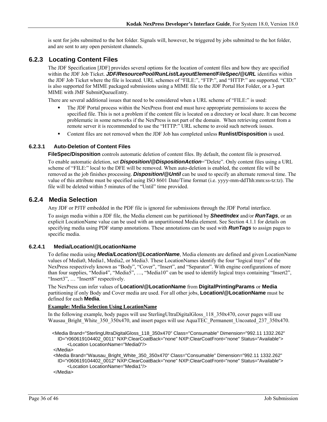is sent for jobs submitted to the hot folder. Signals will, however, be triggered by jobs submitted to the hot folder, and are sent to any open persistent channels.

### **6.2.3 Locating Content Files**

The JDF Specification [JDF] provides several options for the location of content files and how they are specified within the JDF Job Ticket. *JDF/ResourcePool/RunList/LayoutElement/FileSpec/@URL* identifies within the JDF Job Ticket where the file is located. URL schemes of "FILE:", "FTP:", and "HTTP:" are supported. "CID:" is also supported for MIME packaged submissions using a MIME file to the JDF Portal Hot Folder, or a 3-part MIME with JMF SubmitQueueEntry.

There are several additional issues that need to be considered when a URL scheme of "FILE:" is used:

- The JDF Portal process within the NexPress front end must have appropriate permissions to access the specified file. This is not a problem if the content file is located on a directory or local share. It can become problematic in some networks if the NexPress is not part of the domain. When retrieving content from a remote server it is recommended to use the "HTTP:" URL scheme to avoid such network issues.
- Content files are not removed when the JDF Job has completed unless **Runlist/Disposition** is used.

#### **6.2.3.1 Auto-Deletion of Content Files**

**FileSpec/Disposition** controls automatic deletion of content files. By default, the content file is preserved.

To enable automatic deletion, set *Disposition/@DispositionAction*="Delete". Only content files using a URL scheme of "FILE:" local to the DFE will be removed. When auto-deletion is enabled, the content file will be removed as the job finishes processing. *Disposition/@Until* can be used to specify an alternate removal time. The value of this attribute must be specified using ISO 8601 Date/Time format (i.e. yyyy-mm-ddThh:mm:ss-tz:tz). The file will be deleted within 5 minutes of the "Until" time provided.

#### **6.2.4 Media Selection**

Any JDF or PJTF embedded in the PDF file is ignored for submissions through the JDF Portal interface.

To assign media within a JDF file, the Media element can be partitioned by *SheetIndex* and/or *RunTags*, or an explicit LocationName value can be used with an unpartitioned Media element. See Section 4.1.1 for details on specifying media using PDF stamp annotations. These annotations can be used with *RunTags* to assign pages to specific media.

#### **6.2.4.1 Media/Location/@LocationName**

To define media using *Media/Location/@LocationName*, Media elements are defined and given LocationName values of Media0, Media1, Media2, or Media3. These LocationNames identify the four "logical trays" of the NexPress respectively known as "Body", "Cover", "Insert", and "Separator". With engine configurations of more than four supplies, "Media4", "Media5", …, "Media10" can be used to identify logical trays containing "Insert2", "Insert3", ... "Insert8" respectively.

The NexPress can infer values of **Location/@LocationName** from **DigitalPrintingParams** or **Media** partitioning if only Body and Cover media are used. For all other jobs, **Location/@LocationName** must be defined for each **Media**.

#### **Example: Media Selection Using LocationName**

In the following example, body pages will use SterlingUltraDigitalGloss\_118\_350x470, cover pages will use Wausau\_Bright\_White\_350\_350x470, and insert pages will use AquaTEC\_Permanent\_Uncoated\_237\_350x470.

 <Media Brand="SterlingUltraDigitalGloss\_118\_350x470" Class="Consumable" Dimension="992.11 1332.262" ID="r060619104402\_0011" NXP:ClearCoatBack="none" NXP:ClearCoatFront="none" Status="Available"> <Location LocationName="Media0"/>

</Media>

 <Media Brand="Wausau\_Bright\_White\_350\_350x470" Class="Consumable" Dimension="992.11 1332.262" ID="r060619104402\_0012" NXP:ClearCoatBack="none" NXP:ClearCoatFront="none" Status="Available"> <Location LocationName="Media1"/>

</Media>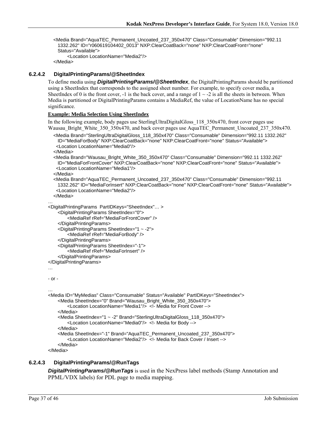<Media Brand="AquaTEC\_Permanent\_Uncoated\_237\_350x470" Class="Consumable" Dimension="992.11 1332.262" ID="r060619104402\_0013" NXP:ClearCoatBack="none" NXP:ClearCoatFront="none" Status="Available"> <Location LocationName="Media2"/>

```
 </Media>
```
#### **6.2.4.2 DigitalPrintingParams/@SheetIndex**

To define media using *DigitalPrintingParams/@SheetIndex*, the DigitalPrintingParams should be partitioned using a SheetIndex that corresponds to the assigned sheet number. For example, to specify cover media, a SheetIndex of 0 is the front cover, -1 is the back cover, and a range of  $1 \sim -2$  is all the sheets in between. When Media is partitioned or DigitalPrintingParams contains a MediaRef, the value of LocationName has no special significance.

#### **Example: Media Selection Using SheetIndex**

In the following example, body pages use SterlingUltraDigitalGloss\_118\_350x470, front cover pages use Wausau\_Bright\_White\_350\_350x470, and back cover pages use AquaTEC\_Permanent\_Uncoated\_237\_350x470.

```
 <Media Brand="SterlingUltraDigitalGloss_118_350x470" Class="Consumable" Dimension="992.11 1332.262" 
 ID="MediaForBody" NXP:ClearCoatBack="none" NXP:ClearCoatFront="none" Status="Available"> 
  <Location LocationName="Media0"/>
```
</Media>

```
 <Media Brand="Wausau_Bright_White_350_350x470" Class="Consumable" Dimension="992.11 1332.262" 
 ID="MediaForFrontCover" NXP:ClearCoatBack="none" NXP:ClearCoatFront="none" Status="Available"> 
  <Location LocationName="Media1"/>
```
</Media>

```
 <Media Brand="AquaTEC_Permanent_Uncoated_237_350x470" Class="Consumable" Dimension="992.11 
 1332.262" ID="MediaForInsert" NXP:ClearCoatBack="none" NXP:ClearCoatFront="none" Status="Available"> 
  <Location LocationName="Media2"/>
```
</Media>

```
… 
<DigitalPrintingParams PartIDKeys="SheetIndex"… >
```

```
<DigitalPrintingParams SheetIndex="0">
```
<MediaRef rRef="MediaForFrontCover" />

```
</DigitalPrintingParams>
```

```
<DigitalPrintingParams SheetIndex="1 ~ -2"> 
    <MediaRef rRef="MediaForBody" />
```

```
</DigitalPrintingParams>
```

```
<DigitalPrintingParams SheetIndex="-1">
```

```
<MediaRef rRef="MediaForInsert" />
```

```
</DigitalPrintingParams>
```

```
</DigitalPrintingParams>
```

```
…
```

```
- or - 
…
```

```
<Media ID="MyMedias" Class="Consumable" Status="Available" PartIDKeys="SheetIndex"> 
    <Media SheetIndex="0" Brand="Wausau_Bright_White_350_350x470"> 
        <Location LocationName="Media1"/> <!- Media for Front Cover --> 
    </Media> 
    <Media SheetIndex="1 ~ -2" Brand="SterlingUltraDigitalGloss_118_350x470"> 
        <Location LocationName="Media0"/> <!- Media for Body --> 
    </Media> 
    <Media SheetIndex="-1" Brand="AquaTEC_Permanent_Uncoated_237_350x470"> 
        <Location LocationName="Media2"/> <!- Media for Back Cover / Insert --> 
    </Media>
```
</Media>

#### **6.2.4.3 DigitalPrintingParams/@RunTags**

*DigitalPrintingParams/@RunTags* is used in the NexPress label methods (Stamp Annotation and PPML/VDX labels) for PDL page to media mapping.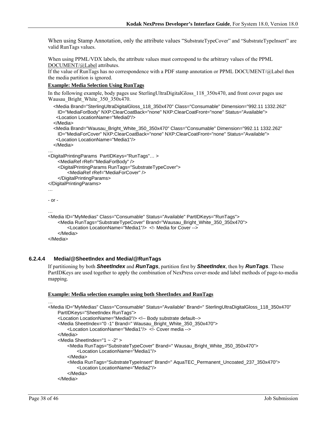When using Stamp Annotation, only the attribute values "SubstrateTypeCover" and "SubstrateTypeInsert" are valid RunTags values.

When using PPML/VDX labels, the attribute values must correspond to the arbitrary values of the PPML DOCUMENT/@Label attributes.

If the value of RunTags has no correspondence with a PDF stamp annotation or PPML DOCUMENT/@Label then the media partition is ignored.

#### **Example: Media Selection Using RunTags**

In the following example, body pages use SterlingUltraDigitalGloss 118 350x470, and front cover pages use Wausau Bright White 350 350x470.

```
 <Media Brand="SterlingUltraDigitalGloss_118_350x470" Class="Consumable" Dimension="992.11 1332.262" 
    ID="MediaForBody" NXP:ClearCoatBack="none" NXP:ClearCoatFront="none" Status="Available"> 
    <Location LocationName="Media0"/> 
   </Media> 
   <Media Brand="Wausau_Bright_White_350_350x470" Class="Consumable" Dimension="992.11 1332.262" 
    ID="MediaForCover" NXP:ClearCoatBack="none" NXP:ClearCoatFront="none" Status="Available"> 
    <Location LocationName="Media1"/> 
   </Media> 
… 
<DigitalPrintingParams PartIDKeys="RunTags"… > 
    <MediaRef rRef="MediaForBody" /> 
    <DigitalPrintingParams RunTags="SubstrateTypeCover"> 
        <MediaRef rRef="MediaForCover" /> 
    </DigitalPrintingParams> 
</DigitalPrintingParams> 
… 
- or - 
… 
<Media ID="MyMedias" Class="Consumable" Status="Available" PartIDKeys="RunTags"> 
    <Media RunTags="SubstrateTypeCover" Brand="Wausau_Bright_White_350_350x470"> 
        <Location LocationName="Media1"/> <!- Media for Cover --> 
    </Media> 
</Media>
```
#### **6.2.4.4 Media/@SheetIndex and Media/@RunTags**

If partitioning by both *SheetIndex* and *RunTags*, partition first by *SheetIndex*, then by *RunTags*. These PartIDKeys are used together to apply the combination of NexPress cover-mode and label methods of page-to-media mapping.

#### **Example: Media selection examples using both SheetIndex and RunTags**

```
<Media ID="MyMedias" Class="Consumable" Status="Available" Brand=" SterlingUltraDigitalGloss_118_350x470" 
    PartIDKeys="SheetIndex RunTags"> 
    <Location LocationName="Media0"/> <!-- Body substrate default--> 
    <Media SheetIndex="0 -1" Brand=" Wausau_Bright_White_350_350x470"> 
        <Location LocationName="Media1"/> <!- Cover media --> 
    </Media> 
    <Media SheetIndex="1 ~ -2" > 
        <Media RunTags="SubstrateTypeCover" Brand=" Wausau_Bright_White_350_350x470"> 
            <Location LocationName="Media1"/> 
        </Media> 
        <Media RunTags="SubstrateTypeInsert" Brand=" AquaTEC_Permanent_Uncoated_237_350x470"> 
            <Location LocationName="Media2"/> 
        </Media> 
    </Media>
```
…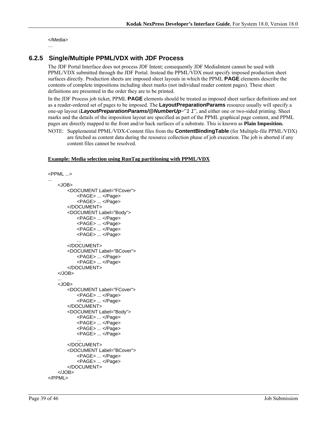</Media>

#### …

### **6.2.5 Single/Multiple PPML/VDX with JDF Process**

The JDF Portal Interface does not process JDF Intent; consequently JDF MediaIntent cannot be used with PPML/VDX submitted through the JDF Portal. Instead the PPML/VDX must specify imposed production sheet surfaces directly. Production sheets are imposed sheet layouts in which the PPML **PAGE** elements describe the contents of complete impositions including sheet marks (not individual reader content pages). These sheet definitions are presented in the order they are to be printed.

In the JDF Process job ticket, PPML **PAGE** elements should be treated as imposed sheet surface definitions and not as a reader-ordered set of pages to be imposed. The **LayoutPreparationParams** resource usually will specify a one-up layout (*LayoutPreparationParams/@NumberUp*="1 1", and either one or two-sided printing. Sheet marks and the details of the imposition layout are specified as part of the PPML graphical page content, and PPML pages are directly mapped to the front and/or back surfaces of a substrate. This is known as **Plain Imposition.**

NOTE: Supplemental PPML/VDX-Content files from the **ContentBindingTable** (for Multiple-file PPML/VDX) are fetched as content data during the resource collection phase of job execution. The job is aborted if any content files cannot be resolved.

#### **Example: Media selection using RunTag partitioning with PPML/VDX**

```
<PPML ...> 
... 
    <JOB> 
        <DOCUMENT Label="FCover"> 
            <PAGE> ... </Page> 
            <PAGE> ... </Page> 
        </DOCUMENT> 
        <DOCUMENT Label="Body"> 
            <PAGE> ... </Page> 
            <PAGE> ... </Page> 
            <PAGE> ... </Page> 
            <PAGE> ... </Page> 
            ... 
        </DOCUMENT> 
        <DOCUMENT Label="BCover"> 
            <PAGE> ... </Page> 
            <PAGE> ... </Page> 
        </DOCUMENT> 
    </JOB> 
    ... 
    <JOB> 
        <DOCUMENT Label="FCover"> 
            <PAGE> ... </Page> 
            <PAGE> ... </Page> 
        </DOCUMENT> 
        <DOCUMENT Label="Body"> 
            <PAGE> ... </Page> 
            <PAGE> ... </Page> 
            <PAGE> ... </Page> 
            <PAGE> ... </Page> 
            ... 
        </DOCUMENT> 
        <DOCUMENT Label="BCover"> 
            <PAGE> ... </Page> 
            <PAGE> ... </Page> 
        </DOCUMENT> 
    </JOB> 
</PPML>
```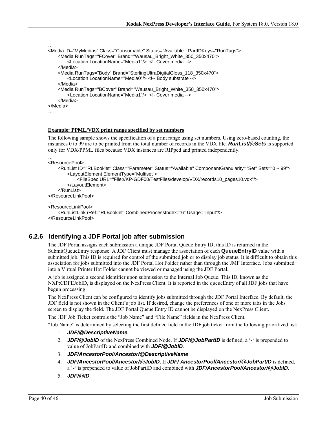```
<Media ID="MyMedias" Class="Consumable" Status="Available" PartIDKeys="RunTags"> 
    <Media RunTags="FCover" Brand="Wausau_Bright_White_350_350x470"> 
        <Location LocationName="Media1"/> <!- Cover media --> 
    </Media> 
    <Media RunTags="Body" Brand="SterlingUltraDigitalGloss_118_350x470"> 
        <Location LocationName="Media0"/> <!-- Body substrate --> 
    </Media> 
    <Media RunTags="BCover" Brand="Wausau_Bright_White_350_350x470"> 
        <Location LocationName="Media1"/> <!- Cover media --> 
    </Media> 
</Media> 
…
```
#### **Example: PPML/VDX print range specified by set numbers**

The following sample shows the specification of a print range using set numbers. Using zero-based counting, the instances 0 to 99 are to be printed from the total number of records in the VDX file. *RunList/@Sets* is supported only for VDX/PPML files because VDX instances are RIPped and printed independently.

```
… 
<ResourcePool>
```
…

```
<RunList ID="RLBooklet" Class="Parameter" Status="Available" ComponentGranularity="Set" Sets="0 ~ 99"> 
        <LayoutElement ElementType="Multiset"> 
            <FileSpec URL="File://KP-GDF00/TestFiles/develop/VDX/records10_pages10.vdx"/> 
        </LayoutElement> 
    </RunList> 
</ResourceLinkPool> 
… 
<ResourceLinkPool> 
    <RunListLink rRef="RLBooklet" CombinedProcessIndex="6" Usage="Input"/> 
</ResourceLinkPool>
```
### **6.2.6 Identifying a JDF Portal job after submission**

The JDF Portal assigns each submission a unique JDF Portal Queue Entry ID; this ID is returned in the SubmitQueueEntry response. A JDF Client must manage the association of each **QueueEntryID** value with a submitted job. This ID is required for control of the submitted job or to display job status. It is difficult to obtain this association for jobs submitted into the JDF Portal Hot Folder rather than through the JMF Interface. Jobs submitted into a Virtual Printer Hot Folder cannot be viewed or managed using the JDF Portal.

A job is assigned a second identifier upon submission to the Internal Job Queue. This ID, known as the NXP:CDFEJobID, is displayed on the NexPress Client. It is reported in the queueEntry of all JDF jobs that have begun processing.

The NexPress Client can be configured to identify jobs submitted through the JDF Portal Interface. By default, the JDF field is not shown in the Client's job list. If desired, change the preferences of one or more tabs in the Jobs screen to display the field. The JDF Portal Queue Entry ID cannot be displayed on the NexPress Client.

The JDF Job Ticket controls the "Job Name" and "File Name" fields in the NexPress Client.

"Job Name" is determined by selecting the first defined field in the JDF job ticket from the following prioritized list:

- 1. *JDF/@DescriptiveName*
- 2. *JDF/@JobID* of the NexPress Combined Node. If *JDF/@JobPartID* is defined, a '-' is prepended to value of JobPartID and combined with *JDF/@JobID*.
- 3. *JDF/AncestorPool/Ancestor/@DescriptiveName*
- 4. *JDF/AncestorPool/Ancestor/@JobID*. If *JDF/ AncestorPool/Ancestor/@JobPartID* is defined, a '-' is prepended to value of JobPartID and combined with *JDF/AncestorPool/Ancestor/@JobID*.
- 5. *JDF/@ID*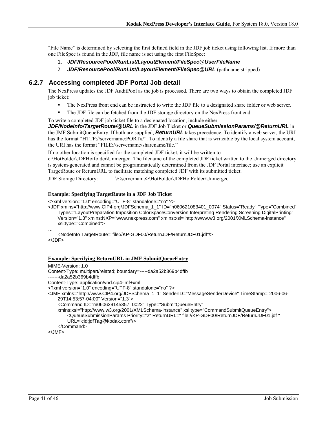"File Name" is determined by selecting the first defined field in the JDF job ticket using following list. If more than one FileSpec is found in the JDF, file name is set using the first FileSpec:

- 1. *JDF/ResourcePool/RunList/LayoutElement/FileSpec@UserFileName*
- 2. *JDF/ResourcePool/RunList/LayoutElement/FileSpec@URL* (pathname stripped)

### **6.2.7 Accessing completed JDF Portal Job detail**

The NexPress updates the JDF AuditPool as the job is processed. There are two ways to obtain the completed JDF job ticket:

- The NexPress front end can be instructed to write the JDF file to a designated share folder or web server.
- The JDF file can be fetched from the JDF storage directory on the NexPress front end.
- To write a completed JDF job ticket file to a designated location, include either

*JDF/NodeInfo/TargetRoute/@URL* in the JDF Job Ticket or *QueueSubmissionParams/@ReturnURL* in the JMF SubmitQueueEntry. If both are supplied, *ReturnURL* takes precedence. To identify a web server, the URI has the format "HTTP://servername:PORT#/". To identify a file share that is writeable by the local system account, the URI has the format "FILE://servername/sharename/file."

If no other location is specified for the completed JDF ticket, it will be written to

c:\HotFolder\JDFHotfolder\Unmerged. The filename of the completed JDF ticket written to the Unmerged directory is system-generated and cannot be programmatically determined from the JDF Portal interface; use an explicit TargetRoute or ReturnURL to facilitate matching completed JDF with its submitted ticket.

JDF Storage Directory: \\<servername>\HotFolder\JDFHotFolder\Unmerged

#### **Example: Specifying TargetRoute in a JDF Job Ticket**

<?xml version="1.0" encoding="UTF-8" standalone="no" ?>

<JDF xmlns="http://www.CIP4.org/JDFSchema\_1\_1" ID="n060621083401\_0074" Status="Ready" Type="Combined" Types="LayoutPreparation Imposition ColorSpaceConversion Interpreting Rendering Screening DigitalPrinting" Version="1.3" xmlns:NXP="www.nexpress.com" xmlns:xsi="http://www.w3.org/2001/XMLSchema-instance" xsi:type="Combined">

#### **Example: Specifying ReturnURL in JMF SubmitQueueEntry**

```
MIME-Version: 1.0 
Content-Type: multipart/related; boundary=-----da2a52b369b4dffb 
-------da2a52b369b4dffb 
Content-Type: application/vnd.cip4-jmf+xml 
<?xml version="1.0" encoding="UTF-8" standalone="no" ?> 
<JMF xmlns="http://www.CIP4.org/JDFSchema_1_1" SenderID="MessageSenderDevice" TimeStamp="2006-06-
    29T14:53:57-04:00" Version="1.3"> 
     <Command ID="m060629145357_0022" Type="SubmitQueueEntry" 
    xmlns:xsi="http://www.w3.org/2001/XMLSchema-instance" xsi:type="CommandSubmitQueueEntry"> 
        <QueueSubmissionParams Priority="2" ReturnURL=" file://KP-GDF00/ReturnJDF/ReturnJDF01.jdf " 
        URL="cid:jdfTag@kodak.com"/> 
     </Command> 
</JMF>
```
…

<sup>…</sup> 

<sup>&</sup>lt;NodeInfo TargetRoute="file://KP-GDF00/ReturnJDF/ReturnJDF01.jdf"/> </JDF>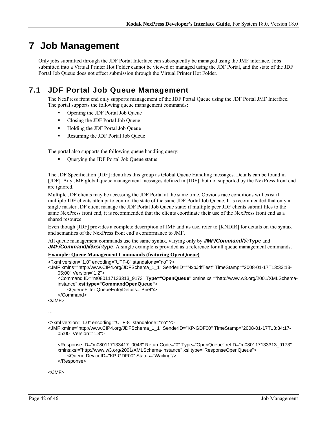# **7 Job Management**

Only jobs submitted through the JDF Portal Interface can subsequently be managed using the JMF interface. Jobs submitted into a Virtual Printer Hot Folder cannot be viewed or managed using the JDF Portal, and the state of the JDF Portal Job Queue does not effect submission through the Virtual Printer Hot Folder.

# **7.1 JDF Portal Job Queue Management**

The NexPress front end only supports management of the JDF Portal Queue using the JDF Portal JMF Interface. The portal supports the following queue management commands:

- Opening the JDF Portal Job Queue
- Closing the JDF Portal Job Queue
- Holding the JDF Portal Job Queue
- Resuming the JDF Portal Job Queue

The portal also supports the following queue handling query:

Querying the JDF Portal Job Queue status

The JDF Specification [JDF] identifies this group as Global Queue Handling messages. Details can be found in [JDF]. Any JMF global queue management messages defined in [JDF], but not supported by the NexPress front end are ignored.

Multiple JDF clients may be accessing the JDF Portal at the same time. Obvious race conditions will exist if multiple JDF clients attempt to control the state of the same JDF Portal Job Queue. It is recommended that only a single master JDF client manage the JDF Portal Job Queue state; if multiple peer JDF clients submit files to the same NexPress front end, it is recommended that the clients coordinate their use of the NexPress front end as a shared resource.

Even though [JDF] provides a complete description of JMF and its use, refer to [KNDIR] for details on the syntax and semantics of the NexPress front end's conformance to JMF.

All queue management commands use the same syntax, varying only by *JMF/Command/@Type* and *JMF/Command/@xsi:type*. A single example is provided as a reference for all queue management commands.

#### **Example: Queue Management Commands (featuring OpenQueue)**

```
<?xml version="1.0" encoding="UTF-8" standalone="no" ?> 
<JMF xmlns="http://www.CIP4.org/JDFSchema_1_1" SenderID="NxpJdfTest" TimeStamp="2008-01-17T13:33:13-
    05:00" Version="1.2"> 
     <Command ID="m080117133313_9173" Type="OpenQueue" xmlns:xsi="http://www.w3.org/2001/XMLSchema-
   instance" xsi:type="CommandOpenQueue"> 
         <QueueFilter QueueEntryDetails="Brief"/> 
     </Command> 
</JMF> 
… 
<?xml version="1.0" encoding="UTF-8" standalone="no" ?> 
<JMF xmlns="http://www.CIP4.org/JDFSchema_1_1" SenderID="KP-GDF00" TimeStamp="2008-01-17T13:34:17-
   05:00" Version="1.3"> 
     <Response ID="m080117133417_0043" ReturnCode="0" Type="OpenQueue" refID="m080117133313_9173" 
   xmlns:xsi="http://www.w3.org/2001/XMLSchema-instance" xsi:type="ResponseOpenQueue"> 
         <Queue DeviceID="KP-GDF00" Status="Waiting"/> 
     </Response>
```
</JMF>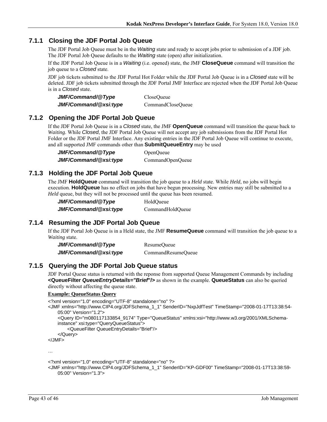### **7.1.1 Closing the JDF Portal Job Queue**

The JDF Portal Job Queue must be in the *Waiting* state and ready to accept jobs prior to submission of a JDF job. The JDF Portal Job Queue defaults to the *Waiting* state (open) after initialization.

If the JDF Portal Job Queue is in a *Waiting* (i.e. opened) state, the JMF **CloseQueue** command will transition the job queue to a *Closed* state.

JDF job tickets submitted to the JDF Portal Hot Folder while the JDF Portal Job Queue is in a *Closed* state will be deleted. JDF job tickets submitted through the JDF Portal JMF Interface are rejected when the JDF Portal Job Queue is in a *Closed* state.

| JMF/Command/@Type     | CloseOueue        |
|-----------------------|-------------------|
| JMF/Command/@xsi:type | CommandCloseQueue |

### **7.1.2 Opening the JDF Portal Job Queue**

If the JDF Portal Job Queue is in a *Closed* state, the JMF **OpenQueue** command will transition the queue back to *Waiting*. While *Closed*, the JDF Portal Job Queue will not accept any job submissions from the JDF Portal Hot Folder or the JDF Portal JMF Interface. Any existing entries in the JDF Portal Job Queue will continue to execute, and all supported JMF commands other than **SubmitQueueEntry** may be used

*JMF/Command/@Type* OpenQueue *JMF/Command/@xsi:type*CommandOpenQueue

### **7.1.3 Holding the JDF Portal Job Queue**

The JMF **HoldQueue** command will transition the job queue to a *Held* state. While *Held*, no jobs will begin execution. **HoldQueue** has no effect on jobs that have begun processing. New entries may still be submitted to a *Held* queue, but they will not be processed until the queue has been resumed.

| JMF/Command/@Type     | HoldOueue        |
|-----------------------|------------------|
| JMF/Command/@xsi:type | CommandHoldQueue |

## **7.1.4 Resuming the JDF Portal Job Queue**

If the JDF Portal Job Queue is in a Held state, the JMF **ResumeQueue** command will transition the job queue to a *Waiting* state.

| JMF/Command/@Type     | ResumeQueue        |
|-----------------------|--------------------|
| JMF/Command/@xsi:type | CommandResumeQueue |

### **7.1.5 Querying the JDF Portal Job Queue status**

JDF Portal Queue status is returned with the reponse from supported Queue Management Commands by including **<QueueFilter** *QueueEntryDetails="Brief***"/>** as shown in the example. **QueueStatus** can also be queried directly without affecting the queue state.

#### **Example: QueueStatus Query**

```
<?xml version="1.0" encoding="UTF-8" standalone="no" ?> 
<JMF xmlns="http://www.CIP4.org/JDFSchema_1_1" SenderID="NxpJdfTest" TimeStamp="2008-01-17T13:38:54-
    05:00" Version="1.2"> 
     <Query ID="m080117133854_9174" Type="QueueStatus" xmlns:xsi="http://www.w3.org/2001/XMLSchema-
    instance" xsi:type="QueryQueueStatus"> 
         <QueueFilter QueueEntryDetails="Brief"/> 
     </Query> 
</JMF>
```
…

```
<?xml version="1.0" encoding="UTF-8" standalone="no" ?>
```

```
<JMF xmlns="http://www.CIP4.org/JDFSchema_1_1" SenderID="KP-GDF00" TimeStamp="2008-01-17T13:38:59-
   05:00" Version="1.3">
```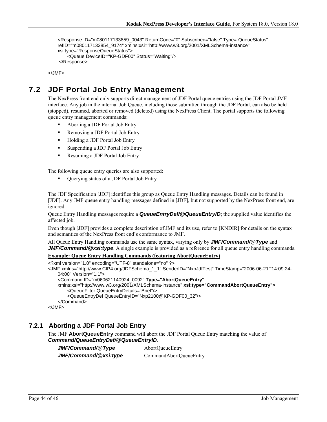```
 <Response ID="m080117133859_0043" ReturnCode="0" Subscribed="false" Type="QueueStatus" 
refID="m080117133854_9174" xmlns:xsi="http://www.w3.org/2001/XMLSchema-instance" 
xsi:type="ResponseQueueStatus"> 
     <Queue DeviceID="KP-GDF00" Status="Waiting"/> 
 </Response>
```
</JMF>

# **7.2 JDF Portal Job Entry Management**

The NexPress front end only supports direct management of JDF Portal queue entries using the JDF Portal JMF interface. Any job in the internal Job Queue, including those submitted through the JDF Portal, can also be held (stopped), resumed, aborted or removed (deleted) using the NexPress Client. The portal supports the following queue entry management commands:

- Aborting a JDF Portal Job Entry
- Removing a JDF Portal Job Entry
- Holding a JDF Portal Job Entry
- Suspending a JDF Portal Job Entry
- Resuming a JDF Portal Job Entry

The following queue entry queries are also supported:

Querying status of a JDF Portal Job Entry

The JDF Specification [JDF] identifies this group as Queue Entry Handling messages. Details can be found in [JDF]. Any JMF queue entry handling messages defined in [JDF], but not supported by the NexPress front end, are ignored.

Queue Entry Handling messages require a *QueueEntryDef/@QueueEntryID*; the supplied value identifies the affected job.

Even though [JDF] provides a complete description of JMF and its use, refer to [KNDIR] for details on the syntax and semantics of the NexPress front end's conformance to JMF.

All Queue Entry Handling commands use the same syntax, varying only by *JMF/Command/@Type* and *JMF/Command/@xsi:type.* A single example is provided as a reference for all queue entry handling commands.

#### **Example: Queue Entry Handling Commands (featuring AbortQueueEntry)**

```
<?xml version="1.0" encoding="UTF-8" standalone="no" ?> 
<JMF xmlns="http://www.CIP4.org/JDFSchema_1_1" SenderID="NxpJdfTest" TimeStamp="2006-06-21T14:09:24-
   04:00" Version="1.1"> 
     <Command ID="m060621140924_0092" Type="AbortQueueEntry"
   xmlns:xsi="http://www.w3.org/2001/XMLSchema-instance" xsi:type="CommandAbortQueueEntry">
         <QueueFilter QueueEntryDetails="Brief"/> 
         <QueueEntryDef QueueEntryID="Nxp2100@KP-GDF00_32"/> 
     </Command> 
</JMF>
```
### **7.2.1 Aborting a JDF Portal Job Entry**

The JMF **AbortQueueEntry** command will abort the JDF Portal Queue Entry matching the value of *Command/QueueEntryDef/@QueueEntryID*.

*JMF/Command/@Type*AbortQueueEntry

*JMF/Command/@xsi:type*CommandAbortQueueEntry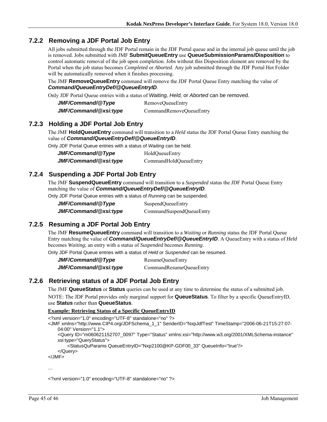### **7.2.2 Removing a JDF Portal Job Entry**

All jobs submitted through the JDF Portal remain in the JDF Portal queue and in the internal job queue until the job is removed. Jobs submitted with JMF **SubmitQueueEntry** use **QueueSubmissionParams/Disposition** to control automatic removal of the job upon completion. Jobs without this Disposition element are removed by the Portal when the job status becomes *Completed* or *Aborted*. Any job submitted through the JDF Portal Hot Folder will be automatically removed when it finishes processing.

The JMF **RemoveQueueEntry** command will remove the JDF Portal Queue Entry matching the value of *Command/QueueEntryDef/@QueueEntryID*.

Only JDF Portal Queue entries with a status of *Waiting, Held,* or *Aborted* can be removed.

| JMF/Command/@Type     | RemoveQueueEntry        |
|-----------------------|-------------------------|
| JMF/Command/@xsi:type | CommandRemoveQueueEntry |

### **7.2.3 Holding a JDF Portal Job Entry**

The JMF **HoldQueueEntry** command will transition to a *Held* status the JDF Portal Queue Entry matching the value of *Command/QueueEntryDef/@QueueEntryID*.

Only JDF Portal Queue entries with a status of *Waiting* can be held.

| JMF/Command/@Type     | HoldQueueEntry        |
|-----------------------|-----------------------|
| JMF/Command/@xsi:type | CommandHoldQueueEntry |

### **7.2.4 Suspending a JDF Portal Job Entry**

The JMF **SuspendQueueEntry** command will transition to a *Suspended* status the JDF Portal Queue Entry matching the value of *Command/QueueEntryDef/@QueueEntryID*.

Only JDF Portal Queue entries with a status of *Running* can be suspended.

| JMF/Command/@Type     | SuspendQueueEntry        |
|-----------------------|--------------------------|
| JMF/Command/@xsi:type | CommandSuspendQueueEntry |

## **7.2.5 Resuming a JDF Portal Job Entry**

The JMF **ResumeQueueEntry** command will transition to a *Waiting* or *Running* status the JDF Portal Queue Entry matching the value of *Command/QueueEntryDef/@QueueEntryID*. A QueueEntry with a status of *Held* becomes *Waiting*; an entry with a status of *Suspended* becomes *Running*.

Only JDF Portal Queue entries with a status of *Held* or *Suspended* can be resumed.

*JMF/Command/@Type*ResumeQueueEntry *JMF/Command/@xsi:type*CommandResumeQueueEntry

### **7.2.6 Retrieving status of a JDF Portal Job Entry**

The JMF **QueueStatus** or **Status** queries can be used at any time to determine the status of a submitted job.

NOTE: The JDF Portal provides only marginal support for **QueueStatus**. To filter by a specific QueueEntryID, use **Status** rather than **QueueStatus**.

#### **Example: Retrieving Status of a Specific QueueEntryID**

<?xml version="1.0" encoding="UTF-8" standalone="no" ?>

- <JMF xmlns="http://www.CIP4.org/JDFSchema\_1\_1" SenderID="NxpJdfTest" TimeStamp="2006-06-21T15:27:07- 04:00" Version="1.1">
	- <Query ID="m060621152707\_0097" Type="Status" xmlns:xsi="http://www.w3.org/2001/XMLSchema-instance" xsi:type="QueryStatus">

<StatusQuParams QueueEntryID="Nxp2100@KP-GDF00\_33" QueueInfo="true"/>

```
 </Query>
```
</JMF>

…

<?xml version="1.0" encoding="UTF-8" standalone="no" ?>